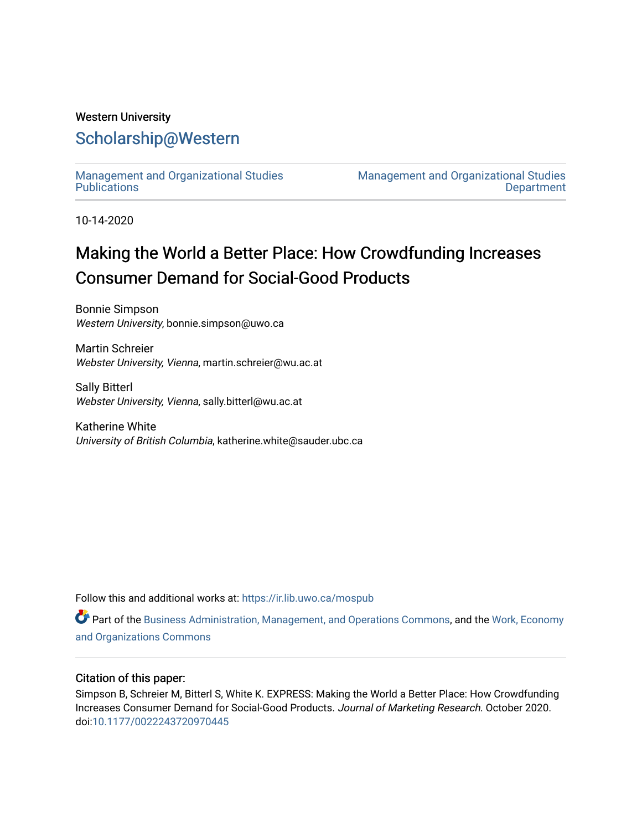## Western University [Scholarship@Western](https://ir.lib.uwo.ca/)

[Management and Organizational Studies](https://ir.lib.uwo.ca/mospub)  **Publications** 

[Management and Organizational Studies](https://ir.lib.uwo.ca/mos)  [Department](https://ir.lib.uwo.ca/mos) 

10-14-2020

# Making the World a Better Place: How Crowdfunding Increases Consumer Demand for Social-Good Products

Bonnie Simpson Western University, bonnie.simpson@uwo.ca

Martin Schreier Webster University, Vienna, martin.schreier@wu.ac.at

Sally Bitterl Webster University, Vienna, sally.bitterl@wu.ac.at

Katherine White University of British Columbia, katherine.white@sauder.ubc.ca

Follow this and additional works at: [https://ir.lib.uwo.ca/mospub](https://ir.lib.uwo.ca/mospub?utm_source=ir.lib.uwo.ca%2Fmospub%2F60&utm_medium=PDF&utm_campaign=PDFCoverPages) 

Part of the [Business Administration, Management, and Operations Commons](http://network.bepress.com/hgg/discipline/623?utm_source=ir.lib.uwo.ca%2Fmospub%2F60&utm_medium=PDF&utm_campaign=PDFCoverPages), and the [Work, Economy](http://network.bepress.com/hgg/discipline/433?utm_source=ir.lib.uwo.ca%2Fmospub%2F60&utm_medium=PDF&utm_campaign=PDFCoverPages)  [and Organizations Commons](http://network.bepress.com/hgg/discipline/433?utm_source=ir.lib.uwo.ca%2Fmospub%2F60&utm_medium=PDF&utm_campaign=PDFCoverPages)

## Citation of this paper:

Simpson B, Schreier M, Bitterl S, White K. EXPRESS: Making the World a Better Place: How Crowdfunding Increases Consumer Demand for Social-Good Products. Journal of Marketing Research. October 2020. doi[:10.1177/0022243720970445](https://doi.org/10.1177/0022243720970445)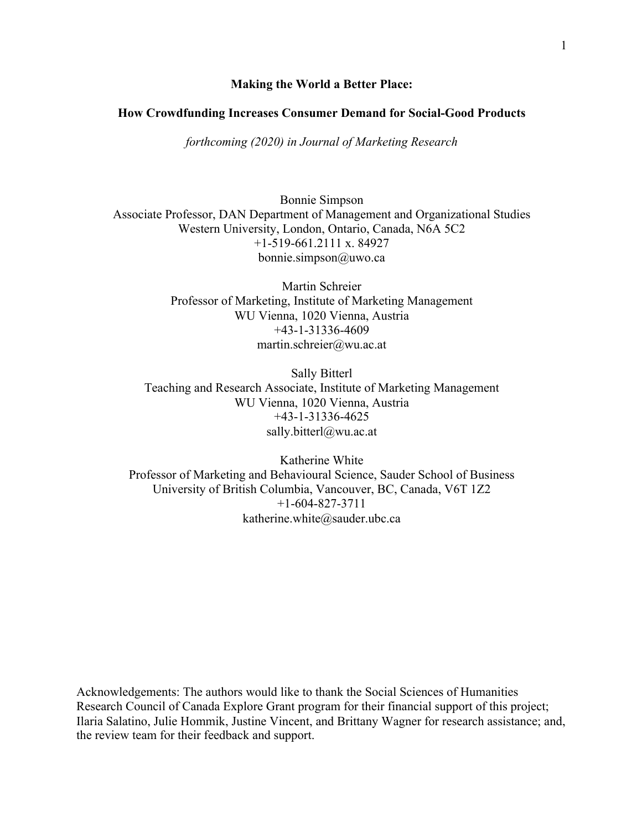#### **Making the World a Better Place:**

#### **How Crowdfunding Increases Consumer Demand for Social-Good Products**

*forthcoming (2020) in Journal of Marketing Research*

Bonnie Simpson Associate Professor, DAN Department of Management and Organizational Studies Western University, London, Ontario, Canada, N6A 5C2 +1-519-661.2111 x. 84927 bonnie.simpson@uwo.ca

> Martin Schreier Professor of Marketing, Institute of Marketing Management WU Vienna, 1020 Vienna, Austria +43-1-31336-4609 martin.schreier@wu.ac.at

Sally Bitterl Teaching and Research Associate, Institute of Marketing Management WU Vienna, 1020 Vienna, Austria +43-1-31336-4625 sally.bitterl@wu.ac.at

Katherine White Professor of Marketing and Behavioural Science, Sauder School of Business University of British Columbia, Vancouver, BC, Canada, V6T 1Z2 +1-604-827-3711 katherine.white@sauder.ubc.ca

Acknowledgements: The authors would like to thank the Social Sciences of Humanities Research Council of Canada Explore Grant program for their financial support of this project; Ilaria Salatino, Julie Hommik, Justine Vincent, and Brittany Wagner for research assistance; and, the review team for their feedback and support.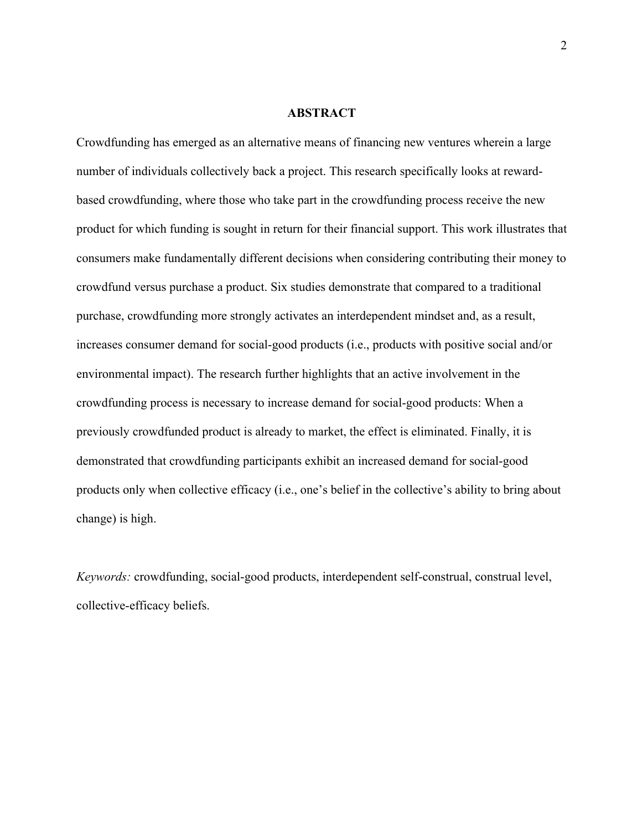#### **ABSTRACT**

Crowdfunding has emerged as an alternative means of financing new ventures wherein a large number of individuals collectively back a project. This research specifically looks at rewardbased crowdfunding, where those who take part in the crowdfunding process receive the new product for which funding is sought in return for their financial support. This work illustrates that consumers make fundamentally different decisions when considering contributing their money to crowdfund versus purchase a product. Six studies demonstrate that compared to a traditional purchase, crowdfunding more strongly activates an interdependent mindset and, as a result, increases consumer demand for social-good products (i.e., products with positive social and/or environmental impact). The research further highlights that an active involvement in the crowdfunding process is necessary to increase demand for social-good products: When a previously crowdfunded product is already to market, the effect is eliminated. Finally, it is demonstrated that crowdfunding participants exhibit an increased demand for social-good products only when collective efficacy (i.e., one's belief in the collective's ability to bring about change) is high.

*Keywords:* crowdfunding, social-good products, interdependent self-construal, construal level, collective-efficacy beliefs.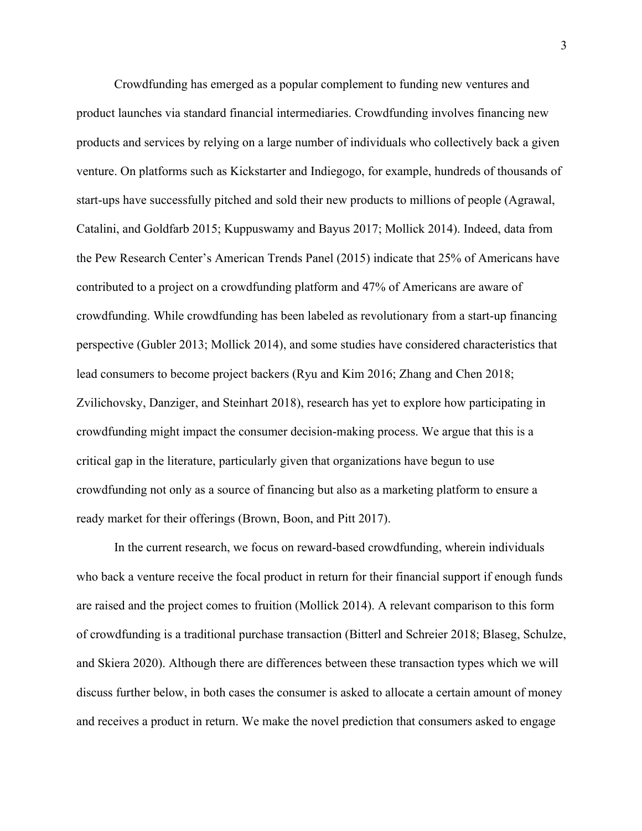Crowdfunding has emerged as a popular complement to funding new ventures and product launches via standard financial intermediaries. Crowdfunding involves financing new products and services by relying on a large number of individuals who collectively back a given venture. On platforms such as Kickstarter and Indiegogo, for example, hundreds of thousands of start-ups have successfully pitched and sold their new products to millions of people (Agrawal, Catalini, and Goldfarb 2015; Kuppuswamy and Bayus 2017; Mollick 2014). Indeed, data from the Pew Research Center's American Trends Panel (2015) indicate that 25% of Americans have contributed to a project on a crowdfunding platform and 47% of Americans are aware of crowdfunding. While crowdfunding has been labeled as revolutionary from a start-up financing perspective (Gubler 2013; Mollick 2014), and some studies have considered characteristics that lead consumers to become project backers (Ryu and Kim 2016; Zhang and Chen 2018; Zvilichovsky, Danziger, and Steinhart 2018), research has yet to explore how participating in crowdfunding might impact the consumer decision-making process. We argue that this is a critical gap in the literature, particularly given that organizations have begun to use crowdfunding not only as a source of financing but also as a marketing platform to ensure a ready market for their offerings (Brown, Boon, and Pitt 2017).

In the current research, we focus on reward-based crowdfunding, wherein individuals who back a venture receive the focal product in return for their financial support if enough funds are raised and the project comes to fruition (Mollick 2014). A relevant comparison to this form of crowdfunding is a traditional purchase transaction (Bitterl and Schreier 2018; Blaseg, Schulze, and Skiera 2020). Although there are differences between these transaction types which we will discuss further below, in both cases the consumer is asked to allocate a certain amount of money and receives a product in return. We make the novel prediction that consumers asked to engage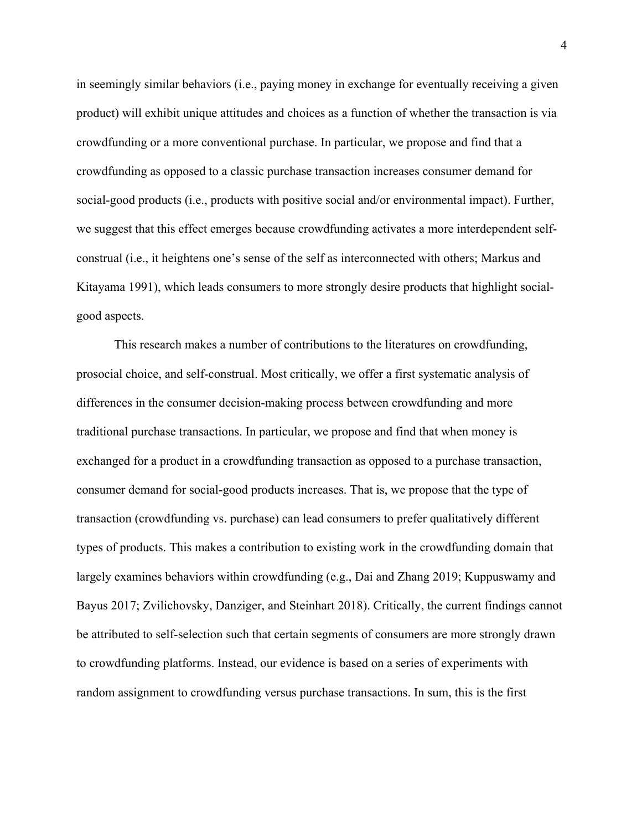in seemingly similar behaviors (i.e., paying money in exchange for eventually receiving a given product) will exhibit unique attitudes and choices as a function of whether the transaction is via crowdfunding or a more conventional purchase. In particular, we propose and find that a crowdfunding as opposed to a classic purchase transaction increases consumer demand for social-good products (i.e., products with positive social and/or environmental impact). Further, we suggest that this effect emerges because crowdfunding activates a more interdependent selfconstrual (i.e., it heightens one's sense of the self as interconnected with others; Markus and Kitayama 1991), which leads consumers to more strongly desire products that highlight socialgood aspects.

This research makes a number of contributions to the literatures on crowdfunding, prosocial choice, and self-construal. Most critically, we offer a first systematic analysis of differences in the consumer decision-making process between crowdfunding and more traditional purchase transactions. In particular, we propose and find that when money is exchanged for a product in a crowdfunding transaction as opposed to a purchase transaction, consumer demand for social-good products increases. That is, we propose that the type of transaction (crowdfunding vs. purchase) can lead consumers to prefer qualitatively different types of products. This makes a contribution to existing work in the crowdfunding domain that largely examines behaviors within crowdfunding (e.g., Dai and Zhang 2019; Kuppuswamy and Bayus 2017; Zvilichovsky, Danziger, and Steinhart 2018). Critically, the current findings cannot be attributed to self-selection such that certain segments of consumers are more strongly drawn to crowdfunding platforms. Instead, our evidence is based on a series of experiments with random assignment to crowdfunding versus purchase transactions. In sum, this is the first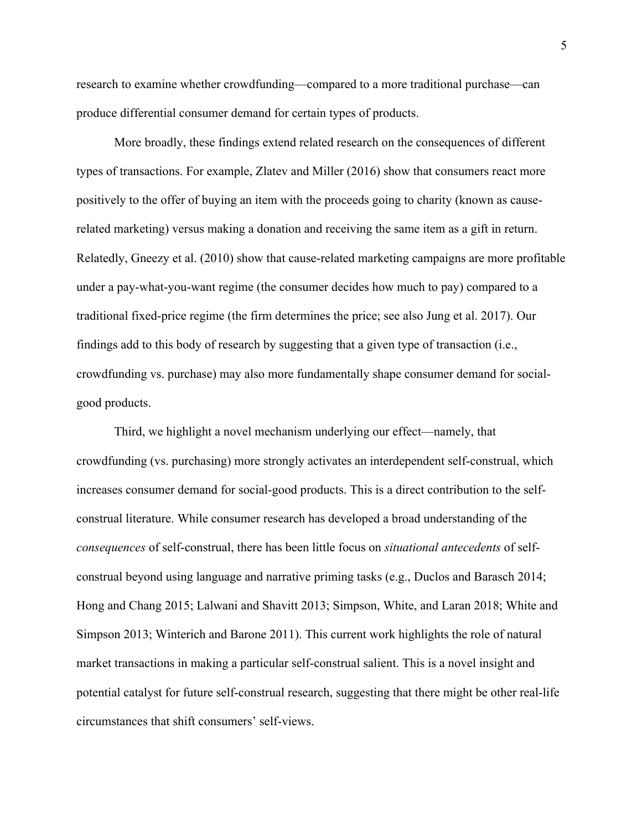research to examine whether crowdfunding—compared to a more traditional purchase—can produce differential consumer demand for certain types of products.

More broadly, these findings extend related research on the consequences of different types of transactions. For example, Zlatev and Miller (2016) show that consumers react more positively to the offer of buying an item with the proceeds going to charity (known as causerelated marketing) versus making a donation and receiving the same item as a gift in return. Relatedly, Gneezy et al. (2010) show that cause-related marketing campaigns are more profitable under a pay-what-you-want regime (the consumer decides how much to pay) compared to a traditional fixed-price regime (the firm determines the price; see also Jung et al. 2017). Our findings add to this body of research by suggesting that a given type of transaction (i.e., crowdfunding vs. purchase) may also more fundamentally shape consumer demand for socialgood products.

Third, we highlight a novel mechanism underlying our effect—namely, that crowdfunding (vs. purchasing) more strongly activates an interdependent self-construal, which increases consumer demand for social-good products. This is a direct contribution to the selfconstrual literature. While consumer research has developed a broad understanding of the *consequences* of self-construal, there has been little focus on *situational antecedents* of selfconstrual beyond using language and narrative priming tasks (e.g., Duclos and Barasch 2014; Hong and Chang 2015; Lalwani and Shavitt 2013; Simpson, White, and Laran 2018; White and Simpson 2013; Winterich and Barone 2011). This current work highlights the role of natural market transactions in making a particular self-construal salient. This is a novel insight and potential catalyst for future self-construal research, suggesting that there might be other real-life circumstances that shift consumers' self-views.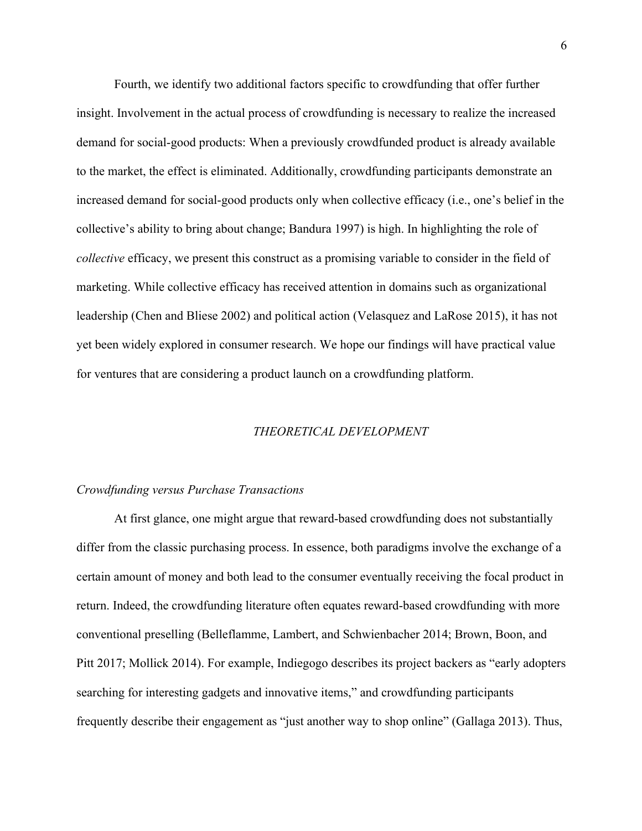Fourth, we identify two additional factors specific to crowdfunding that offer further insight. Involvement in the actual process of crowdfunding is necessary to realize the increased demand for social-good products: When a previously crowdfunded product is already available to the market, the effect is eliminated. Additionally, crowdfunding participants demonstrate an increased demand for social-good products only when collective efficacy (i.e., one's belief in the collective's ability to bring about change; Bandura 1997) is high. In highlighting the role of *collective* efficacy, we present this construct as a promising variable to consider in the field of marketing. While collective efficacy has received attention in domains such as organizational leadership (Chen and Bliese 2002) and political action (Velasquez and LaRose 2015), it has not yet been widely explored in consumer research. We hope our findings will have practical value for ventures that are considering a product launch on a crowdfunding platform.

## *THEORETICAL DEVELOPMENT*

#### *Crowdfunding versus Purchase Transactions*

At first glance, one might argue that reward-based crowdfunding does not substantially differ from the classic purchasing process. In essence, both paradigms involve the exchange of a certain amount of money and both lead to the consumer eventually receiving the focal product in return. Indeed, the crowdfunding literature often equates reward-based crowdfunding with more conventional preselling (Belleflamme, Lambert, and Schwienbacher 2014; Brown, Boon, and Pitt 2017; Mollick 2014). For example, Indiegogo describes its project backers as "early adopters searching for interesting gadgets and innovative items," and crowdfunding participants frequently describe their engagement as "just another way to shop online" (Gallaga 2013). Thus,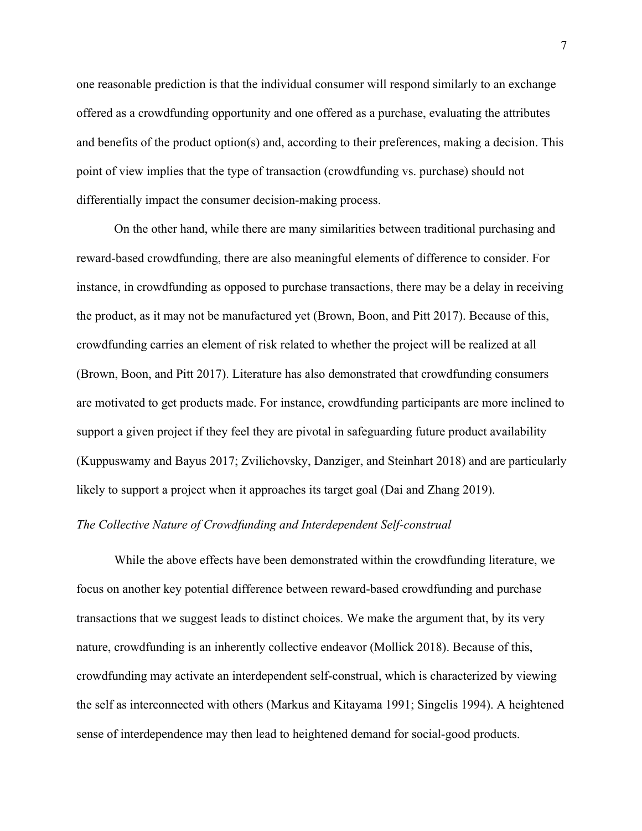one reasonable prediction is that the individual consumer will respond similarly to an exchange offered as a crowdfunding opportunity and one offered as a purchase, evaluating the attributes and benefits of the product option(s) and, according to their preferences, making a decision. This point of view implies that the type of transaction (crowdfunding vs. purchase) should not differentially impact the consumer decision-making process.

On the other hand, while there are many similarities between traditional purchasing and reward-based crowdfunding, there are also meaningful elements of difference to consider. For instance, in crowdfunding as opposed to purchase transactions, there may be a delay in receiving the product, as it may not be manufactured yet (Brown, Boon, and Pitt 2017). Because of this, crowdfunding carries an element of risk related to whether the project will be realized at all (Brown, Boon, and Pitt 2017). Literature has also demonstrated that crowdfunding consumers are motivated to get products made. For instance, crowdfunding participants are more inclined to support a given project if they feel they are pivotal in safeguarding future product availability (Kuppuswamy and Bayus 2017; Zvilichovsky, Danziger, and Steinhart 2018) and are particularly likely to support a project when it approaches its target goal (Dai and Zhang 2019).

## *The Collective Nature of Crowdfunding and Interdependent Self-construal*

While the above effects have been demonstrated within the crowdfunding literature, we focus on another key potential difference between reward-based crowdfunding and purchase transactions that we suggest leads to distinct choices. We make the argument that, by its very nature, crowdfunding is an inherently collective endeavor (Mollick 2018). Because of this, crowdfunding may activate an interdependent self-construal, which is characterized by viewing the self as interconnected with others (Markus and Kitayama 1991; Singelis 1994). A heightened sense of interdependence may then lead to heightened demand for social-good products.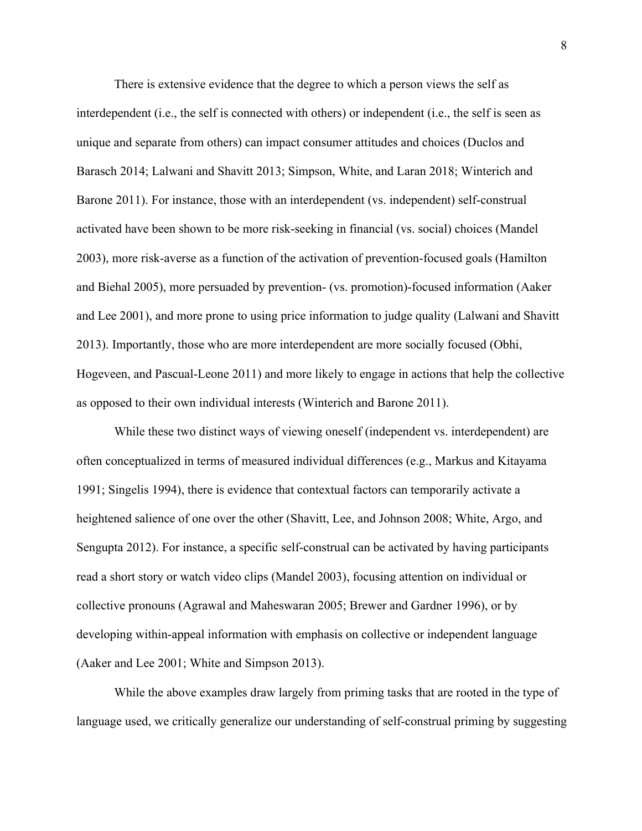There is extensive evidence that the degree to which a person views the self as interdependent (i.e., the self is connected with others) or independent (i.e., the self is seen as unique and separate from others) can impact consumer attitudes and choices (Duclos and Barasch 2014; Lalwani and Shavitt 2013; Simpson, White, and Laran 2018; Winterich and Barone 2011). For instance, those with an interdependent (vs. independent) self-construal activated have been shown to be more risk-seeking in financial (vs. social) choices (Mandel 2003), more risk-averse as a function of the activation of prevention-focused goals (Hamilton and Biehal 2005), more persuaded by prevention- (vs. promotion)-focused information (Aaker and Lee 2001), and more prone to using price information to judge quality (Lalwani and Shavitt 2013). Importantly, those who are more interdependent are more socially focused (Obhi, Hogeveen, and Pascual-Leone 2011) and more likely to engage in actions that help the collective as opposed to their own individual interests (Winterich and Barone 2011).

While these two distinct ways of viewing oneself (independent vs. interdependent) are often conceptualized in terms of measured individual differences (e.g., Markus and Kitayama 1991; Singelis 1994), there is evidence that contextual factors can temporarily activate a heightened salience of one over the other (Shavitt, Lee, and Johnson 2008; White, Argo, and Sengupta 2012). For instance, a specific self-construal can be activated by having participants read a short story or watch video clips (Mandel 2003), focusing attention on individual or collective pronouns (Agrawal and Maheswaran 2005; Brewer and Gardner 1996), or by developing within-appeal information with emphasis on collective or independent language (Aaker and Lee 2001; White and Simpson 2013).

While the above examples draw largely from priming tasks that are rooted in the type of language used, we critically generalize our understanding of self-construal priming by suggesting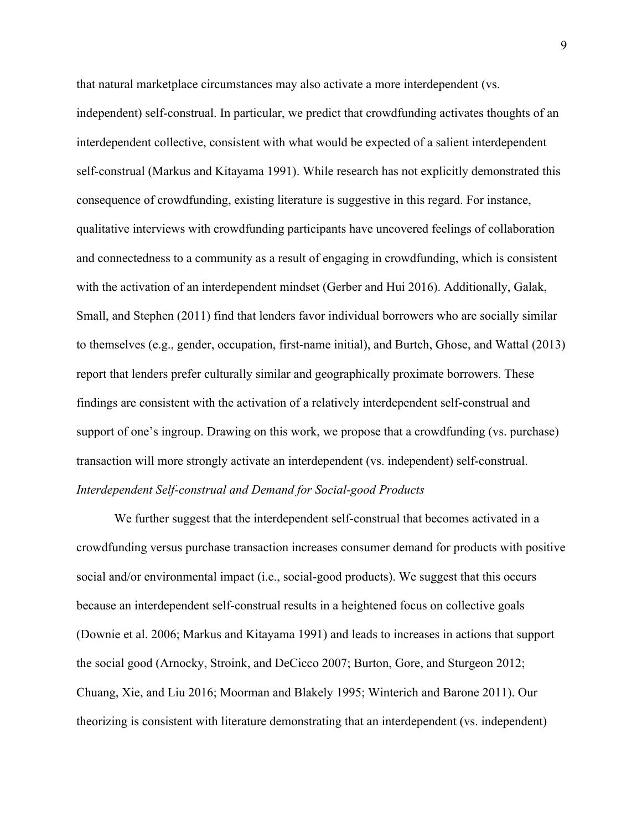that natural marketplace circumstances may also activate a more interdependent (vs.

independent) self-construal. In particular, we predict that crowdfunding activates thoughts of an interdependent collective, consistent with what would be expected of a salient interdependent self-construal (Markus and Kitayama 1991). While research has not explicitly demonstrated this consequence of crowdfunding, existing literature is suggestive in this regard. For instance, qualitative interviews with crowdfunding participants have uncovered feelings of collaboration and connectedness to a community as a result of engaging in crowdfunding, which is consistent with the activation of an interdependent mindset (Gerber and Hui 2016). Additionally, Galak, Small, and Stephen (2011) find that lenders favor individual borrowers who are socially similar to themselves (e.g., gender, occupation, first-name initial), and Burtch, Ghose, and Wattal (2013) report that lenders prefer culturally similar and geographically proximate borrowers. These findings are consistent with the activation of a relatively interdependent self-construal and support of one's ingroup. Drawing on this work, we propose that a crowdfunding (vs. purchase) transaction will more strongly activate an interdependent (vs. independent) self-construal. *Interdependent Self-construal and Demand for Social-good Products*

We further suggest that the interdependent self-construal that becomes activated in a crowdfunding versus purchase transaction increases consumer demand for products with positive social and/or environmental impact (i.e., social-good products). We suggest that this occurs because an interdependent self-construal results in a heightened focus on collective goals (Downie et al. 2006; Markus and Kitayama 1991) and leads to increases in actions that support the social good (Arnocky, Stroink, and DeCicco 2007; Burton, Gore, and Sturgeon 2012; Chuang, Xie, and Liu 2016; Moorman and Blakely 1995; Winterich and Barone 2011). Our theorizing is consistent with literature demonstrating that an interdependent (vs. independent)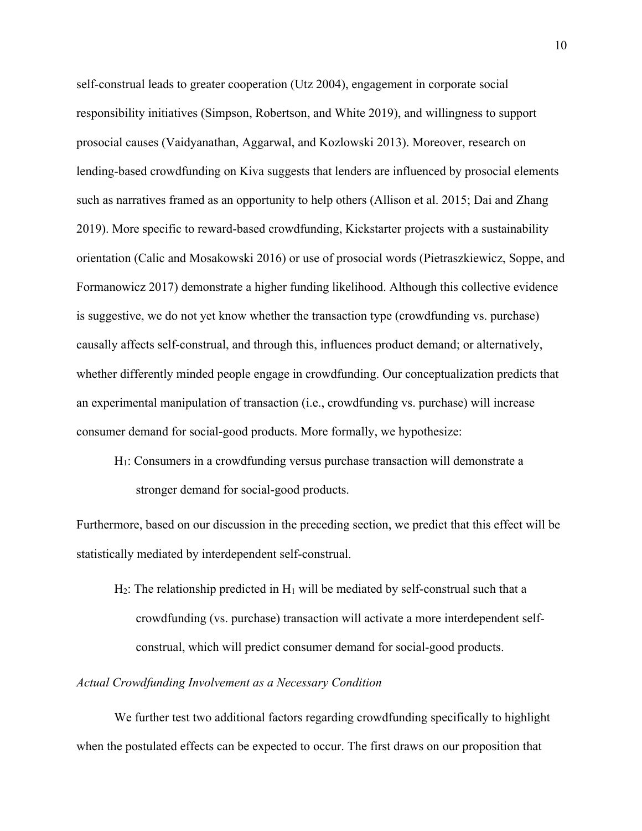self-construal leads to greater cooperation (Utz 2004), engagement in corporate social responsibility initiatives (Simpson, Robertson, and White 2019), and willingness to support prosocial causes (Vaidyanathan, Aggarwal, and Kozlowski 2013). Moreover, research on lending-based crowdfunding on Kiva suggests that lenders are influenced by prosocial elements such as narratives framed as an opportunity to help others (Allison et al. 2015; Dai and Zhang 2019). More specific to reward-based crowdfunding, Kickstarter projects with a sustainability orientation (Calic and Mosakowski 2016) or use of prosocial words (Pietraszkiewicz, Soppe, and Formanowicz 2017) demonstrate a higher funding likelihood. Although this collective evidence is suggestive, we do not yet know whether the transaction type (crowdfunding vs. purchase) causally affects self-construal, and through this, influences product demand; or alternatively, whether differently minded people engage in crowdfunding. Our conceptualization predicts that an experimental manipulation of transaction (i.e., crowdfunding vs. purchase) will increase consumer demand for social-good products. More formally, we hypothesize:

H1: Consumers in a crowdfunding versus purchase transaction will demonstrate a stronger demand for social-good products.

Furthermore, based on our discussion in the preceding section, we predict that this effect will be statistically mediated by interdependent self-construal.

 $H_2$ : The relationship predicted in  $H_1$  will be mediated by self-construal such that a crowdfunding (vs. purchase) transaction will activate a more interdependent selfconstrual, which will predict consumer demand for social-good products.

## *Actual Crowdfunding Involvement as a Necessary Condition*

We further test two additional factors regarding crowdfunding specifically to highlight when the postulated effects can be expected to occur. The first draws on our proposition that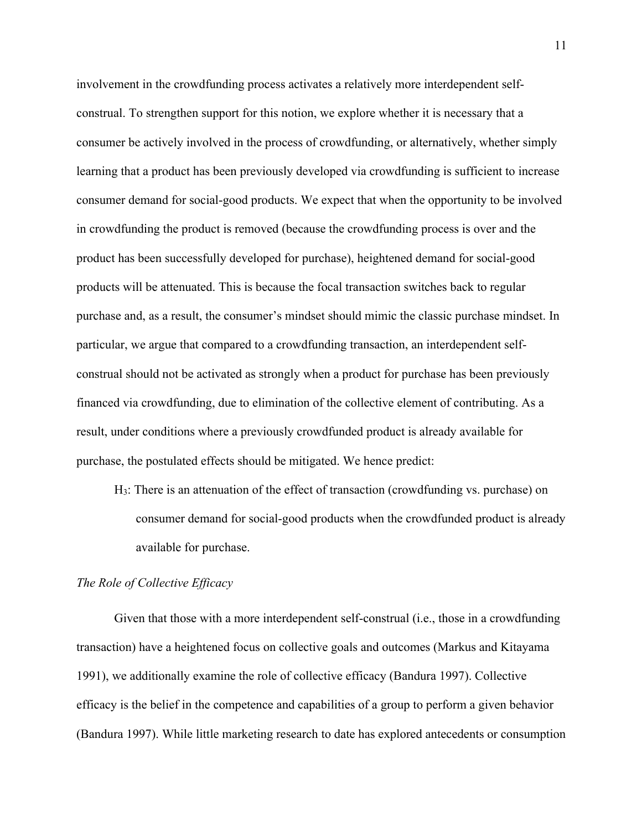involvement in the crowdfunding process activates a relatively more interdependent selfconstrual. To strengthen support for this notion, we explore whether it is necessary that a consumer be actively involved in the process of crowdfunding, or alternatively, whether simply learning that a product has been previously developed via crowdfunding is sufficient to increase consumer demand for social-good products. We expect that when the opportunity to be involved in crowdfunding the product is removed (because the crowdfunding process is over and the product has been successfully developed for purchase), heightened demand for social-good products will be attenuated. This is because the focal transaction switches back to regular purchase and, as a result, the consumer's mindset should mimic the classic purchase mindset. In particular, we argue that compared to a crowdfunding transaction, an interdependent selfconstrual should not be activated as strongly when a product for purchase has been previously financed via crowdfunding, due to elimination of the collective element of contributing. As a result, under conditions where a previously crowdfunded product is already available for purchase, the postulated effects should be mitigated. We hence predict:

H3: There is an attenuation of the effect of transaction (crowdfunding vs. purchase) on consumer demand for social-good products when the crowdfunded product is already available for purchase.

## *The Role of Collective Efficacy*

Given that those with a more interdependent self-construal (i.e., those in a crowdfunding transaction) have a heightened focus on collective goals and outcomes (Markus and Kitayama 1991), we additionally examine the role of collective efficacy (Bandura 1997). Collective efficacy is the belief in the competence and capabilities of a group to perform a given behavior (Bandura 1997). While little marketing research to date has explored antecedents or consumption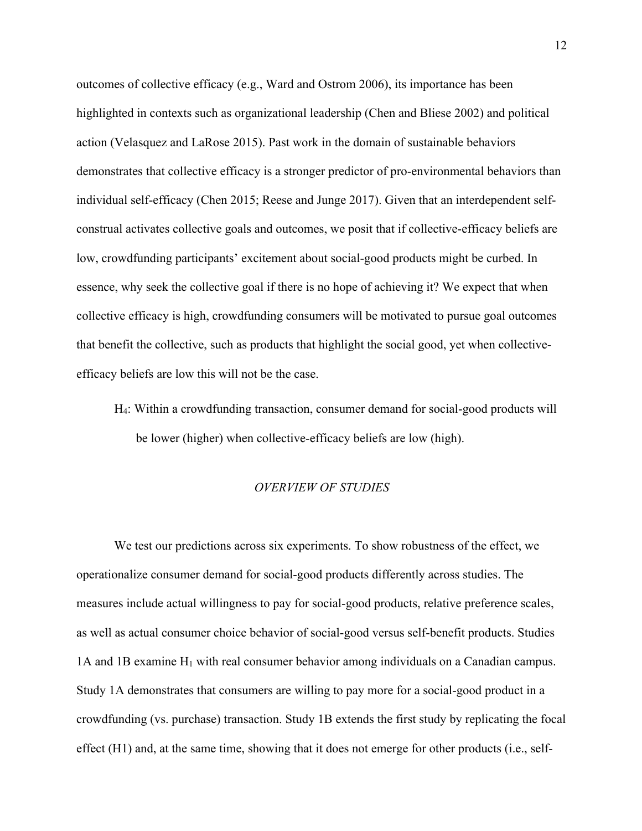outcomes of collective efficacy (e.g., Ward and Ostrom 2006), its importance has been highlighted in contexts such as organizational leadership (Chen and Bliese 2002) and political action (Velasquez and LaRose 2015). Past work in the domain of sustainable behaviors demonstrates that collective efficacy is a stronger predictor of pro-environmental behaviors than individual self-efficacy (Chen 2015; Reese and Junge 2017). Given that an interdependent selfconstrual activates collective goals and outcomes, we posit that if collective-efficacy beliefs are low, crowdfunding participants' excitement about social-good products might be curbed. In essence, why seek the collective goal if there is no hope of achieving it? We expect that when collective efficacy is high, crowdfunding consumers will be motivated to pursue goal outcomes that benefit the collective, such as products that highlight the social good, yet when collectiveefficacy beliefs are low this will not be the case.

H4: Within a crowdfunding transaction, consumer demand for social-good products will be lower (higher) when collective-efficacy beliefs are low (high).

## *OVERVIEW OF STUDIES*

We test our predictions across six experiments. To show robustness of the effect, we operationalize consumer demand for social-good products differently across studies. The measures include actual willingness to pay for social-good products, relative preference scales, as well as actual consumer choice behavior of social-good versus self-benefit products. Studies 1A and 1B examine  $H_1$  with real consumer behavior among individuals on a Canadian campus. Study 1A demonstrates that consumers are willing to pay more for a social-good product in a crowdfunding (vs. purchase) transaction. Study 1B extends the first study by replicating the focal effect (H1) and, at the same time, showing that it does not emerge for other products (i.e., self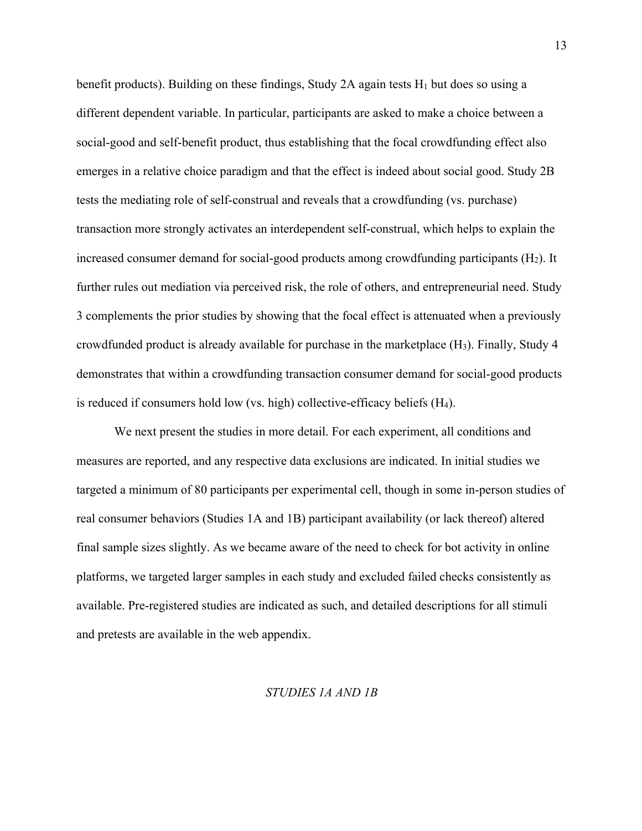benefit products). Building on these findings, Study 2A again tests  $H_1$  but does so using a different dependent variable. In particular, participants are asked to make a choice between a social-good and self-benefit product, thus establishing that the focal crowdfunding effect also emerges in a relative choice paradigm and that the effect is indeed about social good. Study 2B tests the mediating role of self-construal and reveals that a crowdfunding (vs. purchase) transaction more strongly activates an interdependent self-construal, which helps to explain the increased consumer demand for social-good products among crowdfunding participants  $(H_2)$ . It further rules out mediation via perceived risk, the role of others, and entrepreneurial need. Study 3 complements the prior studies by showing that the focal effect is attenuated when a previously crowdfunded product is already available for purchase in the marketplace  $(H_3)$ . Finally, Study 4 demonstrates that within a crowdfunding transaction consumer demand for social-good products is reduced if consumers hold low (vs. high) collective-efficacy beliefs (H4).

We next present the studies in more detail. For each experiment, all conditions and measures are reported, and any respective data exclusions are indicated. In initial studies we targeted a minimum of 80 participants per experimental cell, though in some in-person studies of real consumer behaviors (Studies 1A and 1B) participant availability (or lack thereof) altered final sample sizes slightly. As we became aware of the need to check for bot activity in online platforms, we targeted larger samples in each study and excluded failed checks consistently as available. Pre-registered studies are indicated as such, and detailed descriptions for all stimuli and pretests are available in the web appendix.

#### *STUDIES 1A AND 1B*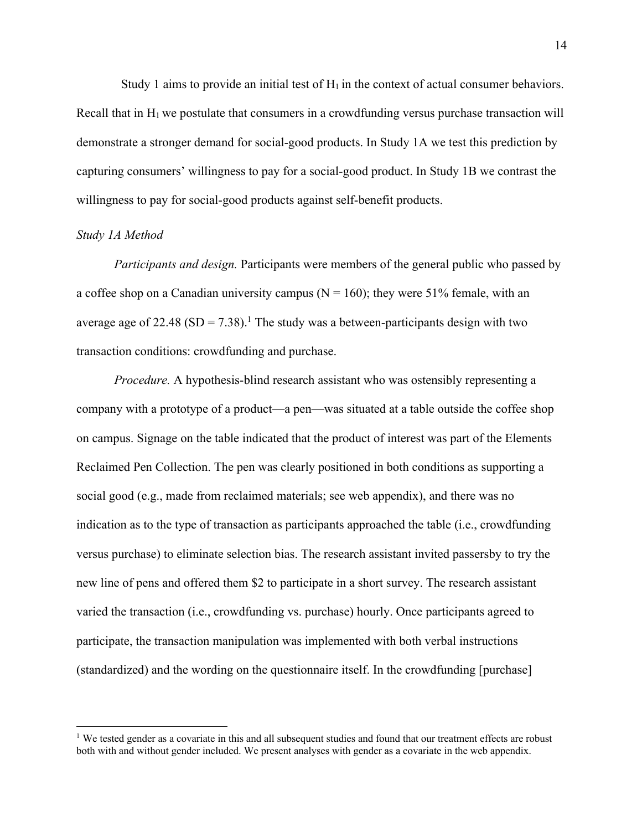Study 1 aims to provide an initial test of  $H_1$  in the context of actual consumer behaviors. Recall that in  $H_1$  we postulate that consumers in a crowdfunding versus purchase transaction will demonstrate a stronger demand for social-good products. In Study 1A we test this prediction by capturing consumers' willingness to pay for a social-good product. In Study 1B we contrast the willingness to pay for social-good products against self-benefit products.

#### *Study 1A Method*

*Participants and design.* Participants were members of the general public who passed by a coffee shop on a Canadian university campus ( $N = 160$ ); they were 51% female, with an average age of 22.48  $(SD = 7.38)$ .<sup>1</sup> The study was a between-participants design with two transaction conditions: crowdfunding and purchase.

*Procedure.* A hypothesis-blind research assistant who was ostensibly representing a company with a prototype of a product—a pen—was situated at a table outside the coffee shop on campus. Signage on the table indicated that the product of interest was part of the Elements Reclaimed Pen Collection. The pen was clearly positioned in both conditions as supporting a social good (e.g., made from reclaimed materials; see web appendix), and there was no indication as to the type of transaction as participants approached the table (i.e., crowdfunding versus purchase) to eliminate selection bias. The research assistant invited passersby to try the new line of pens and offered them \$2 to participate in a short survey. The research assistant varied the transaction (i.e., crowdfunding vs. purchase) hourly. Once participants agreed to participate, the transaction manipulation was implemented with both verbal instructions (standardized) and the wording on the questionnaire itself. In the crowdfunding [purchase]

<sup>&</sup>lt;sup>1</sup> We tested gender as a covariate in this and all subsequent studies and found that our treatment effects are robust both with and without gender included. We present analyses with gender as a covariate in the web appendix.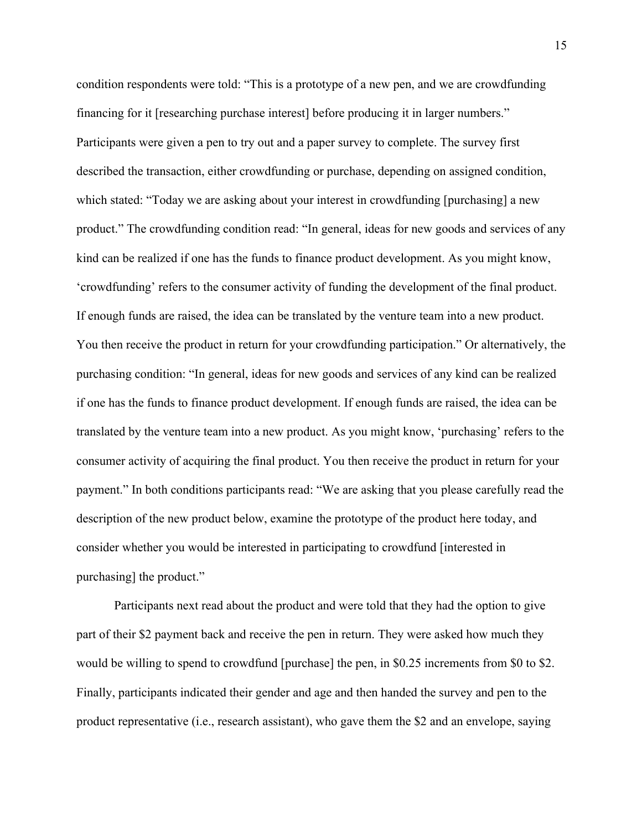condition respondents were told: "This is a prototype of a new pen, and we are crowdfunding financing for it [researching purchase interest] before producing it in larger numbers." Participants were given a pen to try out and a paper survey to complete. The survey first described the transaction, either crowdfunding or purchase, depending on assigned condition, which stated: "Today we are asking about your interest in crowdfunding [purchasing] a new product." The crowdfunding condition read: "In general, ideas for new goods and services of any kind can be realized if one has the funds to finance product development. As you might know, 'crowdfunding' refers to the consumer activity of funding the development of the final product. If enough funds are raised, the idea can be translated by the venture team into a new product. You then receive the product in return for your crowdfunding participation." Or alternatively, the purchasing condition: "In general, ideas for new goods and services of any kind can be realized if one has the funds to finance product development. If enough funds are raised, the idea can be translated by the venture team into a new product. As you might know, 'purchasing' refers to the consumer activity of acquiring the final product. You then receive the product in return for your payment." In both conditions participants read: "We are asking that you please carefully read the description of the new product below, examine the prototype of the product here today, and consider whether you would be interested in participating to crowdfund [interested in purchasing] the product."

Participants next read about the product and were told that they had the option to give part of their \$2 payment back and receive the pen in return. They were asked how much they would be willing to spend to crowdfund [purchase] the pen, in \$0.25 increments from \$0 to \$2. Finally, participants indicated their gender and age and then handed the survey and pen to the product representative (i.e., research assistant), who gave them the \$2 and an envelope, saying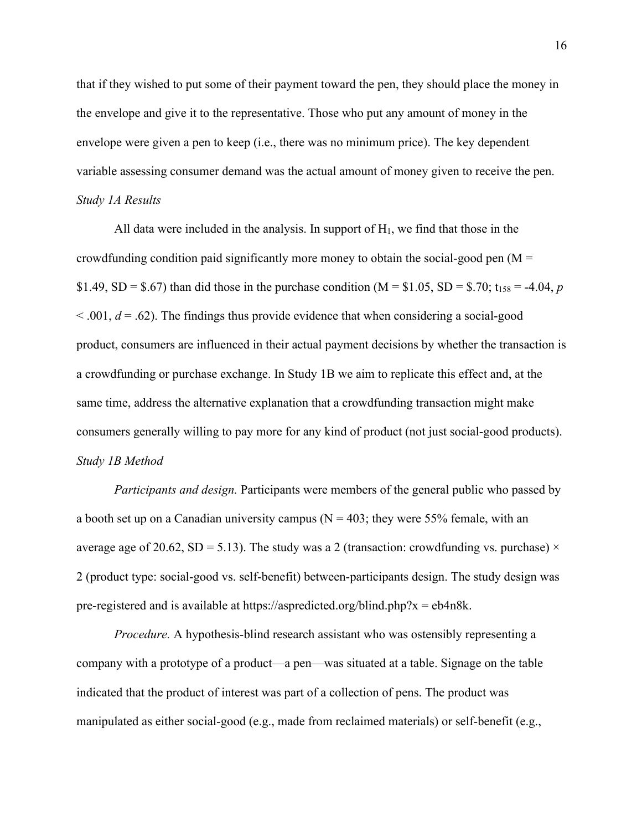that if they wished to put some of their payment toward the pen, they should place the money in the envelope and give it to the representative. Those who put any amount of money in the envelope were given a pen to keep (i.e., there was no minimum price). The key dependent variable assessing consumer demand was the actual amount of money given to receive the pen. *Study 1A Results* 

All data were included in the analysis. In support of  $H_1$ , we find that those in the crowdfunding condition paid significantly more money to obtain the social-good pen  $(M =$ \$1.49, SD = \$.67) than did those in the purchase condition ( $M = $1.05$ , SD = \$.70; t<sub>158</sub> = -4.04, *p*  $\leq$  001,  $d = 0.62$ ). The findings thus provide evidence that when considering a social-good product, consumers are influenced in their actual payment decisions by whether the transaction is a crowdfunding or purchase exchange. In Study 1B we aim to replicate this effect and, at the same time, address the alternative explanation that a crowdfunding transaction might make consumers generally willing to pay more for any kind of product (not just social-good products). *Study 1B Method*

*Participants and design.* Participants were members of the general public who passed by a booth set up on a Canadian university campus ( $N = 403$ ; they were 55% female, with an average age of 20.62, SD = 5.13). The study was a 2 (transaction: crowdfunding vs. purchase)  $\times$ 2 (product type: social-good vs. self-benefit) between-participants design. The study design was pre-registered and is available at https://aspredicted.org/blind.php?x = eb4n8k.

*Procedure.* A hypothesis-blind research assistant who was ostensibly representing a company with a prototype of a product—a pen—was situated at a table. Signage on the table indicated that the product of interest was part of a collection of pens. The product was manipulated as either social-good (e.g., made from reclaimed materials) or self-benefit (e.g.,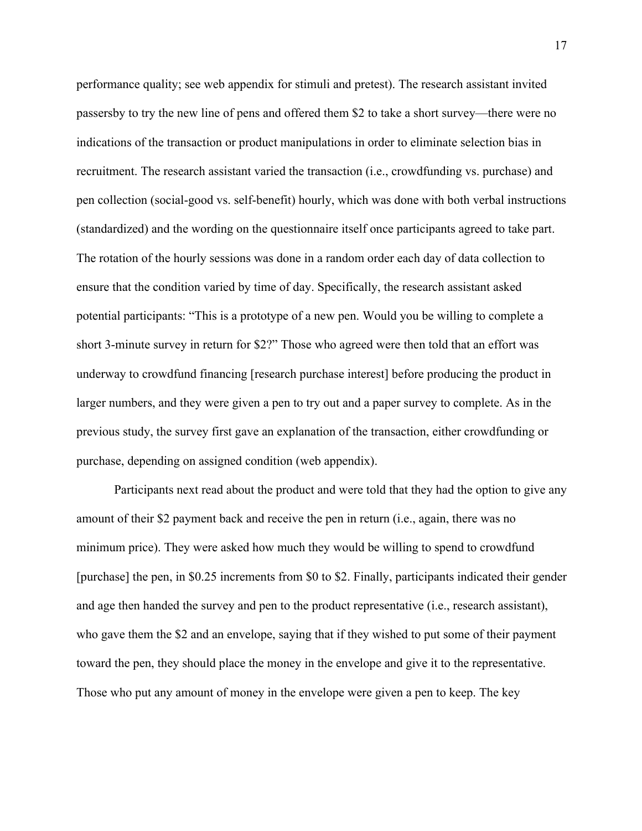performance quality; see web appendix for stimuli and pretest). The research assistant invited passersby to try the new line of pens and offered them \$2 to take a short survey—there were no indications of the transaction or product manipulations in order to eliminate selection bias in recruitment. The research assistant varied the transaction (i.e., crowdfunding vs. purchase) and pen collection (social-good vs. self-benefit) hourly, which was done with both verbal instructions (standardized) and the wording on the questionnaire itself once participants agreed to take part. The rotation of the hourly sessions was done in a random order each day of data collection to ensure that the condition varied by time of day. Specifically, the research assistant asked potential participants: "This is a prototype of a new pen. Would you be willing to complete a short 3-minute survey in return for \$2?" Those who agreed were then told that an effort was underway to crowdfund financing [research purchase interest] before producing the product in larger numbers, and they were given a pen to try out and a paper survey to complete. As in the previous study, the survey first gave an explanation of the transaction, either crowdfunding or purchase, depending on assigned condition (web appendix).

Participants next read about the product and were told that they had the option to give any amount of their \$2 payment back and receive the pen in return (i.e., again, there was no minimum price). They were asked how much they would be willing to spend to crowdfund [purchase] the pen, in \$0.25 increments from \$0 to \$2. Finally, participants indicated their gender and age then handed the survey and pen to the product representative (i.e., research assistant), who gave them the \$2 and an envelope, saying that if they wished to put some of their payment toward the pen, they should place the money in the envelope and give it to the representative. Those who put any amount of money in the envelope were given a pen to keep. The key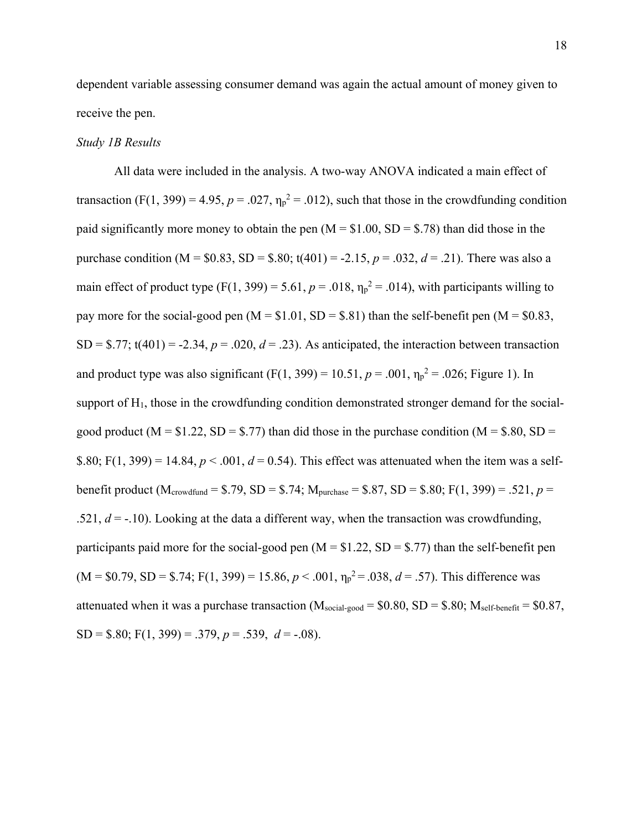dependent variable assessing consumer demand was again the actual amount of money given to receive the pen.

#### *Study 1B Results*

All data were included in the analysis. A two-way ANOVA indicated a main effect of transaction (F(1, 399) = 4.95,  $p = .027$ ,  $\eta_p^2 = .012$ ), such that those in the crowdfunding condition paid significantly more money to obtain the pen  $(M = $1.00, SD = $.78)$  than did those in the purchase condition (M = \$0.83, SD = \$.80;  $t(401) = -2.15$ ,  $p = .032$ ,  $d = .21$ ). There was also a main effect of product type  $(F(1, 399) = 5.61, p = .018, \eta_p^2 = .014)$ , with participants willing to pay more for the social-good pen  $(M = $1.01, SD = $.81)$  than the self-benefit pen  $(M = $0.83,$  $SD = $.77$ ; t(401) = -2.34,  $p = .020$ ,  $d = .23$ ). As anticipated, the interaction between transaction and product type was also significant  $(F(1, 399) = 10.51, p = .001, \eta_p^2 = .026;$  Figure 1). In support of  $H_1$ , those in the crowdfunding condition demonstrated stronger demand for the socialgood product ( $M = $1.22$ ,  $SD = $.77$ ) than did those in the purchase condition ( $M = $.80$ ,  $SD =$ \$.80; F(1, 399) = 14.84,  $p < .001$ ,  $d = 0.54$ ). This effect was attenuated when the item was a selfbenefit product ( $M_{\text{crowdfund}} = $.79$ ,  $SD = $.74$ ;  $M_{\text{purchase}} = $.87$ ,  $SD = $.80$ ;  $F(1, 399) = .521$ ,  $p =$ .521,  $d = -10$ ). Looking at the data a different way, when the transaction was crowdfunding, participants paid more for the social-good pen  $(M = $1.22, SD = $.77)$  than the self-benefit pen  $(M = $0.79, SD = $.74; F(1, 399) = 15.86, p < .001, \eta_p^2 = .038, d = .57$ . This difference was attenuated when it was a purchase transaction ( $M_{\text{social-good}} = $0.80$ , SD = \$.80;  $M_{\text{self-beneff}} = $0.87$ ,  $SD = $.80; F(1, 399) = .379, p = .539, d = -.08).$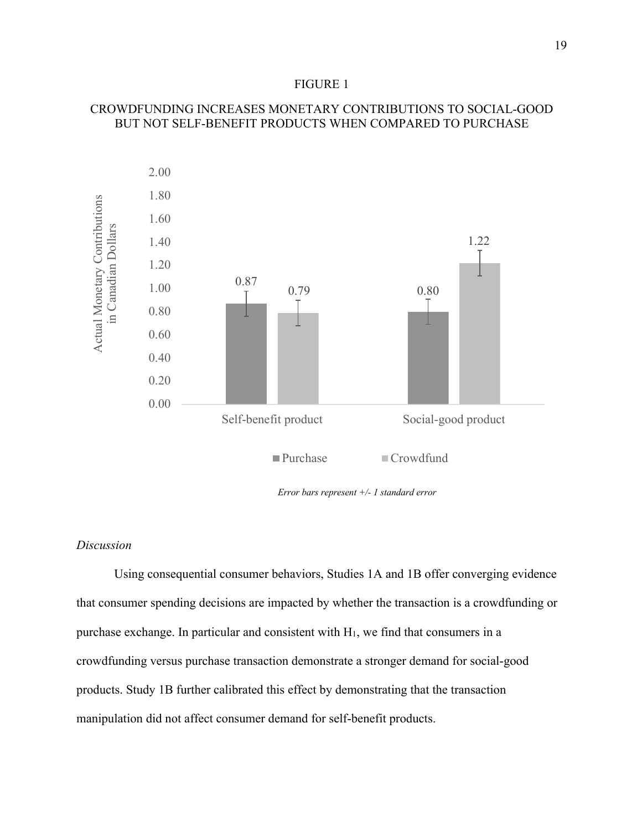#### FIGURE 1

## CROWDFUNDING INCREASES MONETARY CONTRIBUTIONS TO SOCIAL-GOOD BUT NOT SELF-BENEFIT PRODUCTS WHEN COMPARED TO PURCHASE



 *Error bars represent +/- 1 standard error* 

## *Discussion*

Using consequential consumer behaviors, Studies 1A and 1B offer converging evidence that consumer spending decisions are impacted by whether the transaction is a crowdfunding or purchase exchange. In particular and consistent with  $H_1$ , we find that consumers in a crowdfunding versus purchase transaction demonstrate a stronger demand for social-good products. Study 1B further calibrated this effect by demonstrating that the transaction manipulation did not affect consumer demand for self-benefit products.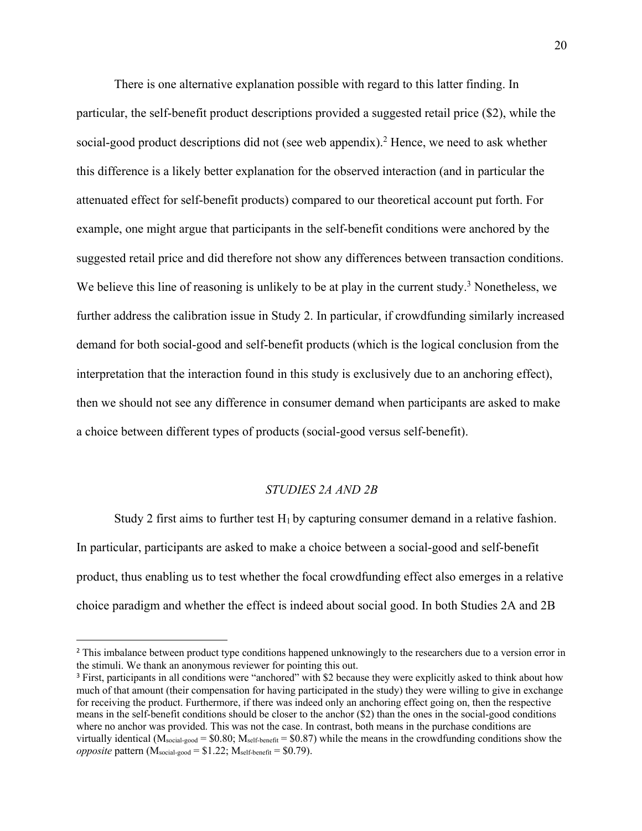There is one alternative explanation possible with regard to this latter finding. In particular, the self-benefit product descriptions provided a suggested retail price (\$2), while the social-good product descriptions did not (see web appendix).<sup>2</sup> Hence, we need to ask whether this difference is a likely better explanation for the observed interaction (and in particular the attenuated effect for self-benefit products) compared to our theoretical account put forth. For example, one might argue that participants in the self-benefit conditions were anchored by the suggested retail price and did therefore not show any differences between transaction conditions. We believe this line of reasoning is unlikely to be at play in the current study.<sup>3</sup> Nonetheless, we further address the calibration issue in Study 2. In particular, if crowdfunding similarly increased demand for both social-good and self-benefit products (which is the logical conclusion from the interpretation that the interaction found in this study is exclusively due to an anchoring effect), then we should not see any difference in consumer demand when participants are asked to make a choice between different types of products (social-good versus self-benefit).

#### *STUDIES 2A AND 2B*

Study 2 first aims to further test  $H_1$  by capturing consumer demand in a relative fashion. In particular, participants are asked to make a choice between a social-good and self-benefit product, thus enabling us to test whether the focal crowdfunding effect also emerges in a relative choice paradigm and whether the effect is indeed about social good. In both Studies 2A and 2B

<sup>&</sup>lt;sup>2</sup> This imbalance between product type conditions happened unknowingly to the researchers due to a version error in the stimuli. We thank an anonymous reviewer for pointing this out.

<sup>&</sup>lt;sup>3</sup> First, participants in all conditions were "anchored" with \$2 because they were explicitly asked to think about how much of that amount (their compensation for having participated in the study) they were willing to give in exchange for receiving the product. Furthermore, if there was indeed only an anchoring effect going on, then the respective means in the self-benefit conditions should be closer to the anchor (\$2) than the ones in the social-good conditions where no anchor was provided. This was not the case. In contrast, both means in the purchase conditions are virtually identical ( $M_{\text{social-good}} = $0.80$ ;  $M_{\text{self-beneff}} = $0.87$ ) while the means in the crowdfunding conditions show the *opposite* pattern  $(M_{social\text{-}good} = $1.22; M_{self\text{-}benefit} = $0.79)$ .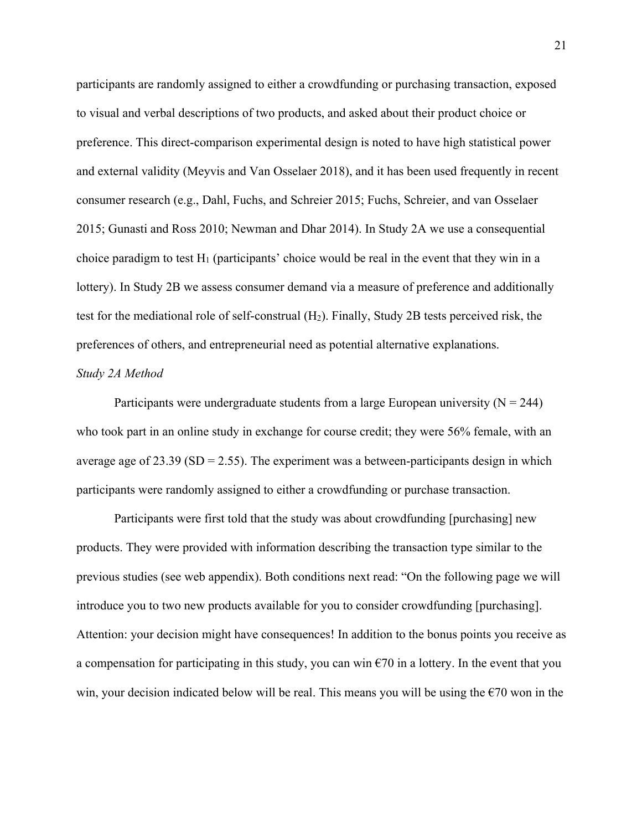participants are randomly assigned to either a crowdfunding or purchasing transaction, exposed to visual and verbal descriptions of two products, and asked about their product choice or preference. This direct-comparison experimental design is noted to have high statistical power and external validity (Meyvis and Van Osselaer 2018), and it has been used frequently in recent consumer research (e.g., Dahl, Fuchs, and Schreier 2015; Fuchs, Schreier, and van Osselaer 2015; Gunasti and Ross 2010; Newman and Dhar 2014). In Study 2A we use a consequential choice paradigm to test  $H_1$  (participants' choice would be real in the event that they win in a lottery). In Study 2B we assess consumer demand via a measure of preference and additionally test for the mediational role of self-construal  $(H_2)$ . Finally, Study 2B tests perceived risk, the preferences of others, and entrepreneurial need as potential alternative explanations.

#### *Study 2A Method*

Participants were undergraduate students from a large European university  $(N = 244)$ who took part in an online study in exchange for course credit; they were 56% female, with an average age of 23.39 ( $SD = 2.55$ ). The experiment was a between-participants design in which participants were randomly assigned to either a crowdfunding or purchase transaction.

Participants were first told that the study was about crowdfunding [purchasing] new products. They were provided with information describing the transaction type similar to the previous studies (see web appendix). Both conditions next read: "On the following page we will introduce you to two new products available for you to consider crowdfunding [purchasing]. Attention: your decision might have consequences! In addition to the bonus points you receive as a compensation for participating in this study, you can win  $\epsilon$ 70 in a lottery. In the event that you win, your decision indicated below will be real. This means you will be using the  $\epsilon$ 70 won in the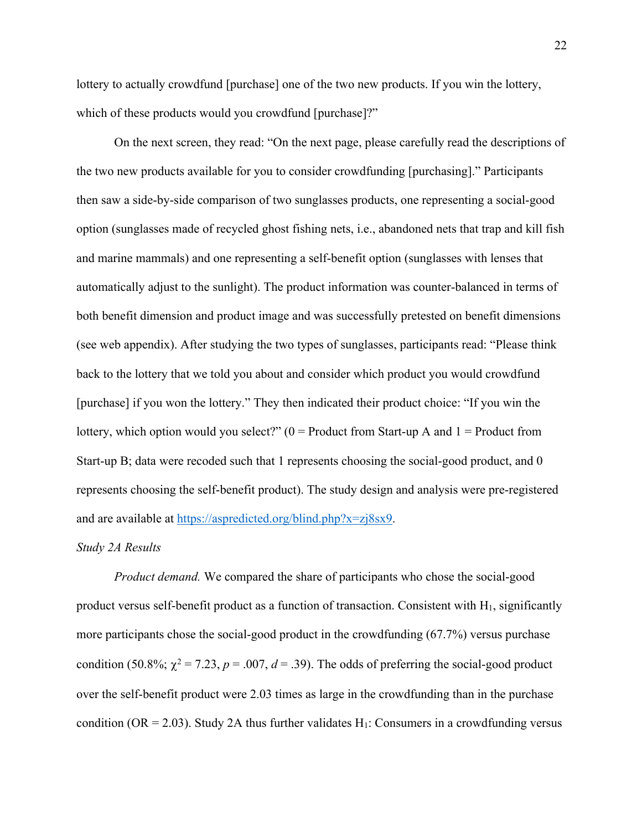lottery to actually crowdfund [purchase] one of the two new products. If you win the lottery, which of these products would you crowdfund [purchase]?"

On the next screen, they read: "On the next page, please carefully read the descriptions of the two new products available for you to consider crowdfunding [purchasing]." Participants then saw a side-by-side comparison of two sunglasses products, one representing a social-good option (sunglasses made of recycled ghost fishing nets, i.e., abandoned nets that trap and kill fish and marine mammals) and one representing a self-benefit option (sunglasses with lenses that automatically adjust to the sunlight). The product information was counter-balanced in terms of both benefit dimension and product image and was successfully pretested on benefit dimensions (see web appendix). After studying the two types of sunglasses, participants read: "Please think back to the lottery that we told you about and consider which product you would crowdfund [purchase] if you won the lottery." They then indicated their product choice: "If you win the lottery, which option would you select?"  $(0 = Product from Start-up A and 1 = Product from)$ Start-up B; data were recoded such that 1 represents choosing the social-good product, and 0 represents choosing the self-benefit product). The study design and analysis were pre-registered and are available at https://aspredicted.org/blind.php?x=zj8sx9.

## *Study 2A Results*

*Product demand.* We compared the share of participants who chose the social-good product versus self-benefit product as a function of transaction. Consistent with  $H_1$ , significantly more participants chose the social-good product in the crowdfunding (67.7%) versus purchase condition (50.8%;  $\chi^2 = 7.23$ ,  $p = .007$ ,  $d = .39$ ). The odds of preferring the social-good product over the self-benefit product were 2.03 times as large in the crowdfunding than in the purchase condition (OR = 2.03). Study 2A thus further validates  $H_1$ : Consumers in a crowdfunding versus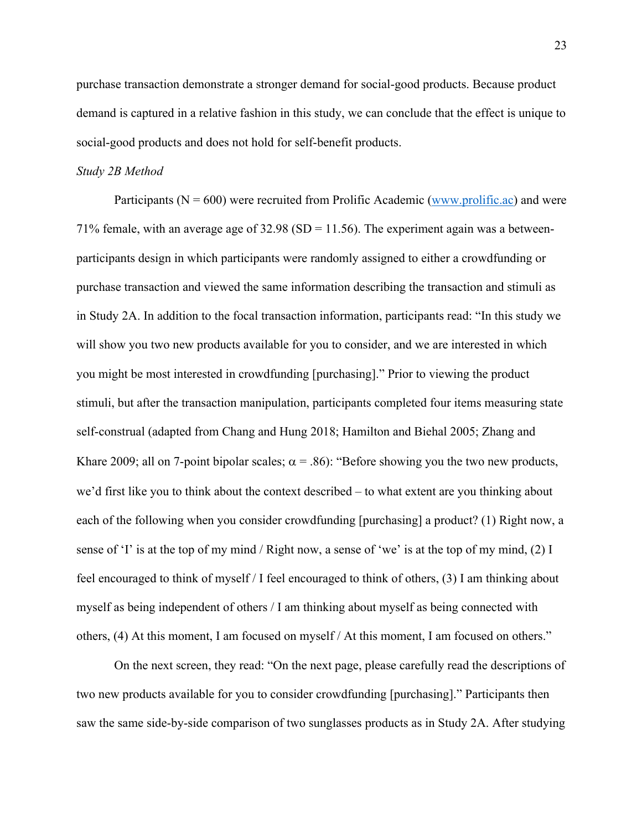purchase transaction demonstrate a stronger demand for social-good products. Because product demand is captured in a relative fashion in this study, we can conclude that the effect is unique to social-good products and does not hold for self-benefit products.

#### *Study 2B Method*

Participants ( $N = 600$ ) were recruited from Prolific Academic (www.prolific.ac) and were 71% female, with an average age of  $32.98$  (SD = 11.56). The experiment again was a betweenparticipants design in which participants were randomly assigned to either a crowdfunding or purchase transaction and viewed the same information describing the transaction and stimuli as in Study 2A. In addition to the focal transaction information, participants read: "In this study we will show you two new products available for you to consider, and we are interested in which you might be most interested in crowdfunding [purchasing]." Prior to viewing the product stimuli, but after the transaction manipulation, participants completed four items measuring state self-construal (adapted from Chang and Hung 2018; Hamilton and Biehal 2005; Zhang and Khare 2009; all on 7-point bipolar scales;  $\alpha = .86$ ): "Before showing you the two new products, we'd first like you to think about the context described – to what extent are you thinking about each of the following when you consider crowdfunding [purchasing] a product? (1) Right now, a sense of 'I' is at the top of my mind / Right now, a sense of 'we' is at the top of my mind, (2) I feel encouraged to think of myself / I feel encouraged to think of others, (3) I am thinking about myself as being independent of others / I am thinking about myself as being connected with others, (4) At this moment, I am focused on myself / At this moment, I am focused on others."

On the next screen, they read: "On the next page, please carefully read the descriptions of two new products available for you to consider crowdfunding [purchasing]." Participants then saw the same side-by-side comparison of two sunglasses products as in Study 2A. After studying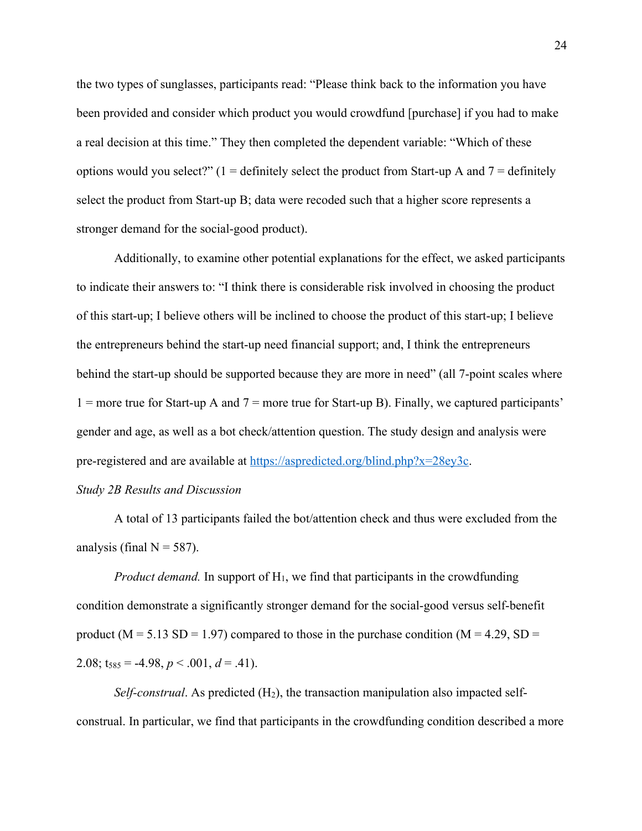the two types of sunglasses, participants read: "Please think back to the information you have been provided and consider which product you would crowdfund [purchase] if you had to make a real decision at this time." They then completed the dependent variable: "Which of these options would you select?"  $(1 =$  definitely select the product from Start-up A and  $7 =$  definitely select the product from Start-up B; data were recoded such that a higher score represents a stronger demand for the social-good product).

Additionally, to examine other potential explanations for the effect, we asked participants to indicate their answers to: "I think there is considerable risk involved in choosing the product of this start-up; I believe others will be inclined to choose the product of this start-up; I believe the entrepreneurs behind the start-up need financial support; and, I think the entrepreneurs behind the start-up should be supported because they are more in need" (all 7-point scales where  $1 =$  more true for Start-up A and  $7 =$  more true for Start-up B). Finally, we captured participants' gender and age, as well as a bot check/attention question. The study design and analysis were pre-registered and are available at https://aspredicted.org/blind.php?x=28ey3c.

## *Study 2B Results and Discussion*

A total of 13 participants failed the bot/attention check and thus were excluded from the analysis (final  $N = 587$ ).

*Product demand.* In support of H<sub>1</sub>, we find that participants in the crowdfunding condition demonstrate a significantly stronger demand for the social-good versus self-benefit product ( $M = 5.13 SD = 1.97$ ) compared to those in the purchase condition ( $M = 4.29$ ,  $SD =$ 2.08;  $t_{585} = -4.98$ ,  $p < .001$ ,  $d = .41$ ).

*Self-construal*. As predicted  $(H_2)$ , the transaction manipulation also impacted selfconstrual. In particular, we find that participants in the crowdfunding condition described a more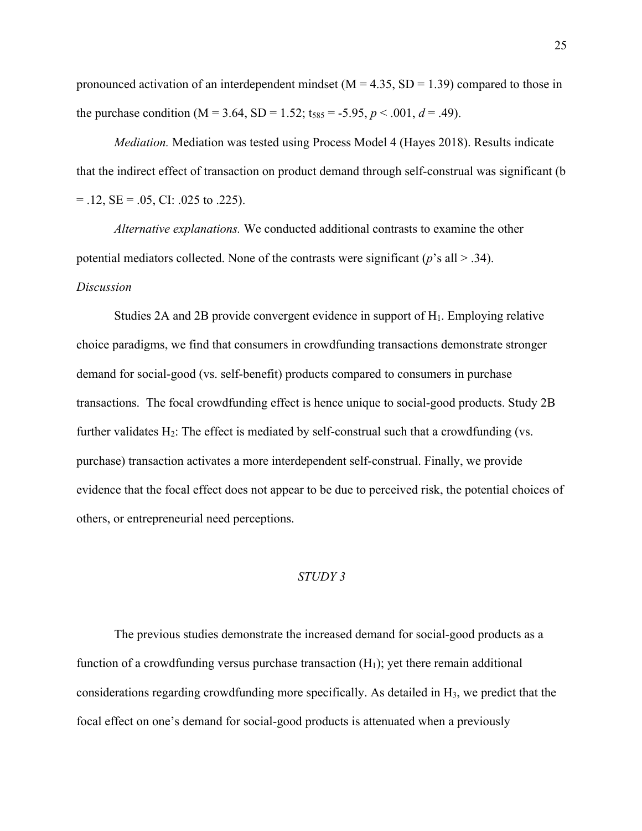pronounced activation of an interdependent mindset ( $M = 4.35$ , SD = 1.39) compared to those in the purchase condition (M = 3.64, SD = 1.52; t<sub>585</sub> = -5.95,  $p < .001$ ,  $d = .49$ ).

*Mediation.* Mediation was tested using Process Model 4 (Hayes 2018). Results indicate that the indirect effect of transaction on product demand through self-construal was significant (b  $= .12, SE = .05, CI: .025$  to .225).

*Alternative explanations.* We conducted additional contrasts to examine the other potential mediators collected. None of the contrasts were significant ( $p$ 's all  $> .34$ ). *Discussion*

Studies 2A and 2B provide convergent evidence in support of  $H_1$ . Employing relative choice paradigms, we find that consumers in crowdfunding transactions demonstrate stronger demand for social-good (vs. self-benefit) products compared to consumers in purchase transactions. The focal crowdfunding effect is hence unique to social-good products. Study 2B further validates  $H_2$ : The effect is mediated by self-construal such that a crowdfunding (vs. purchase) transaction activates a more interdependent self-construal. Finally, we provide evidence that the focal effect does not appear to be due to perceived risk, the potential choices of others, or entrepreneurial need perceptions.

## *STUDY 3*

The previous studies demonstrate the increased demand for social-good products as a function of a crowdfunding versus purchase transaction  $(H_1)$ ; yet there remain additional considerations regarding crowdfunding more specifically. As detailed in H3, we predict that the focal effect on one's demand for social-good products is attenuated when a previously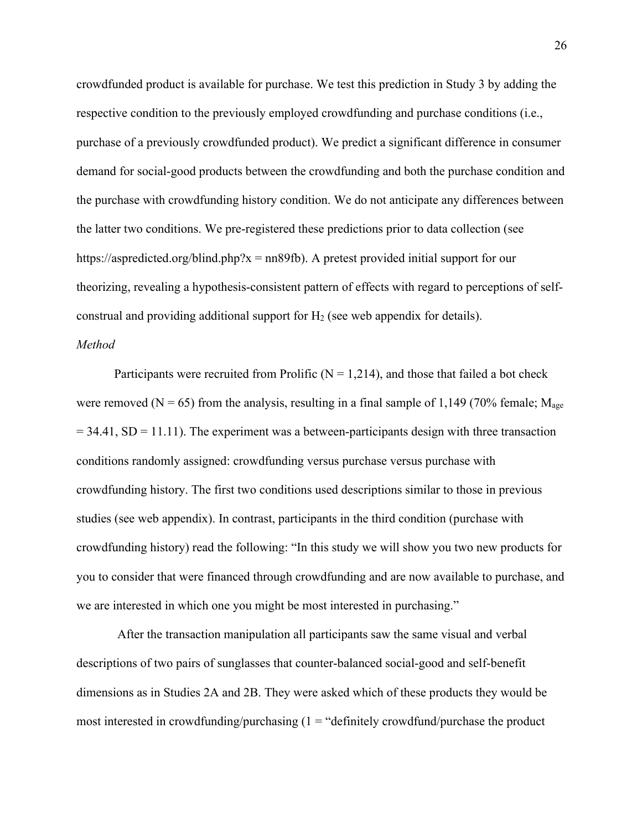crowdfunded product is available for purchase. We test this prediction in Study 3 by adding the respective condition to the previously employed crowdfunding and purchase conditions (i.e., purchase of a previously crowdfunded product). We predict a significant difference in consumer demand for social-good products between the crowdfunding and both the purchase condition and the purchase with crowdfunding history condition. We do not anticipate any differences between the latter two conditions. We pre-registered these predictions prior to data collection (see https://aspredicted.org/blind.php?x = nn89fb). A pretest provided initial support for our theorizing, revealing a hypothesis-consistent pattern of effects with regard to perceptions of selfconstrual and providing additional support for  $H_2$  (see web appendix for details).

## *Method*

Participants were recruited from Prolific  $(N = 1,214)$ , and those that failed a bot check were removed (N = 65) from the analysis, resulting in a final sample of 1,149 (70% female;  $M_{\text{age}}$ )  $= 34.41$ , SD = 11.11). The experiment was a between-participants design with three transaction conditions randomly assigned: crowdfunding versus purchase versus purchase with crowdfunding history. The first two conditions used descriptions similar to those in previous studies (see web appendix). In contrast, participants in the third condition (purchase with crowdfunding history) read the following: "In this study we will show you two new products for you to consider that were financed through crowdfunding and are now available to purchase, and we are interested in which one you might be most interested in purchasing."

After the transaction manipulation all participants saw the same visual and verbal descriptions of two pairs of sunglasses that counter-balanced social-good and self-benefit dimensions as in Studies 2A and 2B. They were asked which of these products they would be most interested in crowdfunding/purchasing  $(1 - "definitely crowdfund/purchase the product)$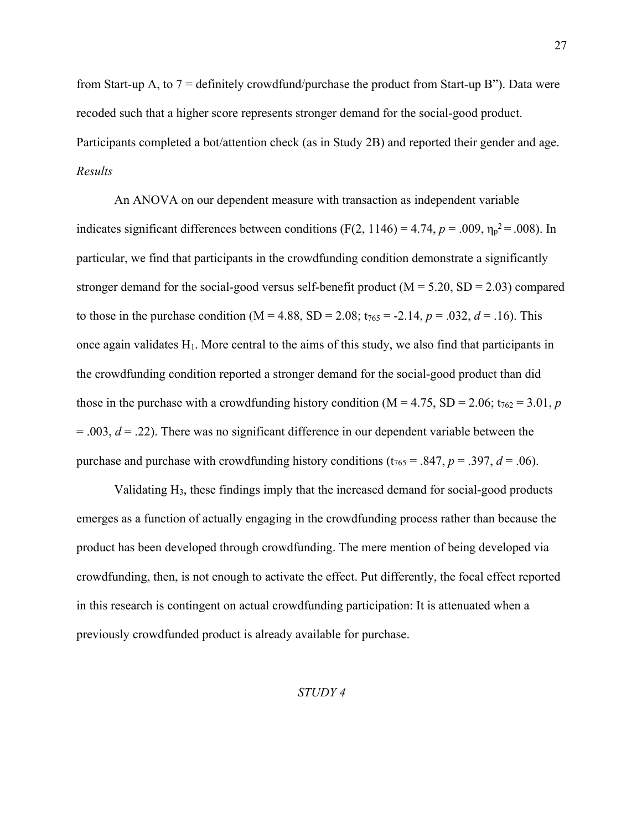from Start-up A, to  $7 =$  definitely crowdfund/purchase the product from Start-up B"). Data were recoded such that a higher score represents stronger demand for the social-good product. Participants completed a bot/attention check (as in Study 2B) and reported their gender and age. *Results*

An ANOVA on our dependent measure with transaction as independent variable indicates significant differences between conditions (F(2, 1146) = 4.74,  $p = .009$ ,  $\eta_p^2 = .008$ ). In particular, we find that participants in the crowdfunding condition demonstrate a significantly stronger demand for the social-good versus self-benefit product ( $M = 5.20$ ,  $SD = 2.03$ ) compared to those in the purchase condition (M = 4.88, SD = 2.08;  $t_{765}$  = -2.14,  $p = .032$ ,  $d = .16$ ). This once again validates  $H_1$ . More central to the aims of this study, we also find that participants in the crowdfunding condition reported a stronger demand for the social-good product than did those in the purchase with a crowdfunding history condition ( $M = 4.75$ ,  $SD = 2.06$ ;  $t_{762} = 3.01$ , *p*  $= .003, d = .22$ ). There was no significant difference in our dependent variable between the purchase and purchase with crowdfunding history conditions  $(t_{765} = .847, p = .397, d = .06)$ .

Validating H3, these findings imply that the increased demand for social-good products emerges as a function of actually engaging in the crowdfunding process rather than because the product has been developed through crowdfunding. The mere mention of being developed via crowdfunding, then, is not enough to activate the effect. Put differently, the focal effect reported in this research is contingent on actual crowdfunding participation: It is attenuated when a previously crowdfunded product is already available for purchase.

#### *STUDY 4*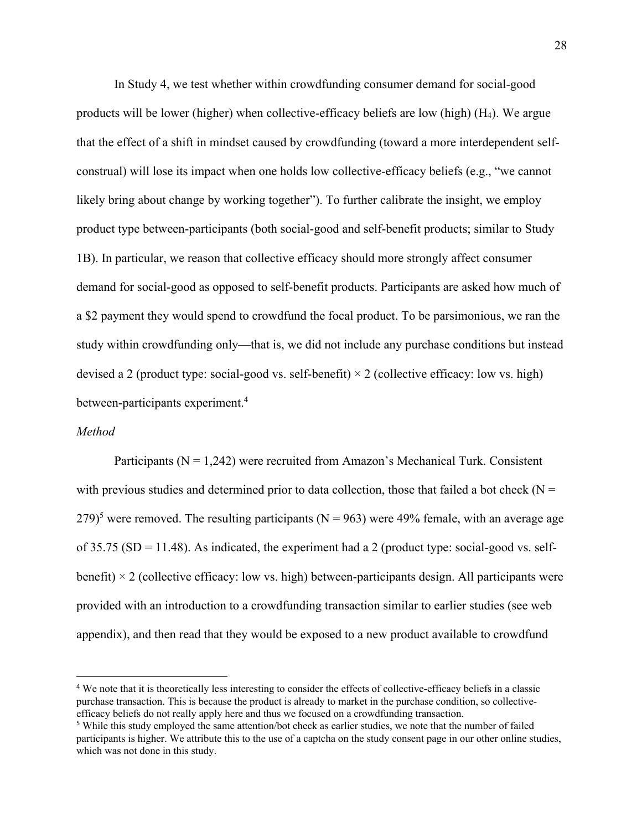In Study 4, we test whether within crowdfunding consumer demand for social-good products will be lower (higher) when collective-efficacy beliefs are low (high) (H4). We argue that the effect of a shift in mindset caused by crowdfunding (toward a more interdependent selfconstrual) will lose its impact when one holds low collective-efficacy beliefs (e.g., "we cannot likely bring about change by working together"). To further calibrate the insight, we employ product type between-participants (both social-good and self-benefit products; similar to Study 1B). In particular, we reason that collective efficacy should more strongly affect consumer demand for social-good as opposed to self-benefit products. Participants are asked how much of a \$2 payment they would spend to crowdfund the focal product. To be parsimonious, we ran the study within crowdfunding only—that is, we did not include any purchase conditions but instead devised a 2 (product type: social-good vs. self-benefit)  $\times$  2 (collective efficacy: low vs. high) between-participants experiment. 4

## *Method*

Participants ( $N = 1,242$ ) were recruited from Amazon's Mechanical Turk. Consistent with previous studies and determined prior to data collection, those that failed a bot check  $(N =$ 279)<sup>5</sup> were removed. The resulting participants ( $N = 963$ ) were 49% female, with an average age of  $35.75$  (SD = 11.48). As indicated, the experiment had a 2 (product type: social-good vs. selfbenefit)  $\times$  2 (collective efficacy: low vs. high) between-participants design. All participants were provided with an introduction to a crowdfunding transaction similar to earlier studies (see web appendix), and then read that they would be exposed to a new product available to crowdfund

<sup>4</sup> We note that it is theoretically less interesting to consider the effects of collective-efficacy beliefs in a classic purchase transaction. This is because the product is already to market in the purchase condition, so collectiveefficacy beliefs do not really apply here and thus we focused on a crowdfunding transaction.

<sup>&</sup>lt;sup>5</sup> While this study employed the same attention/bot check as earlier studies, we note that the number of failed participants is higher. We attribute this to the use of a captcha on the study consent page in our other online studies, which was not done in this study.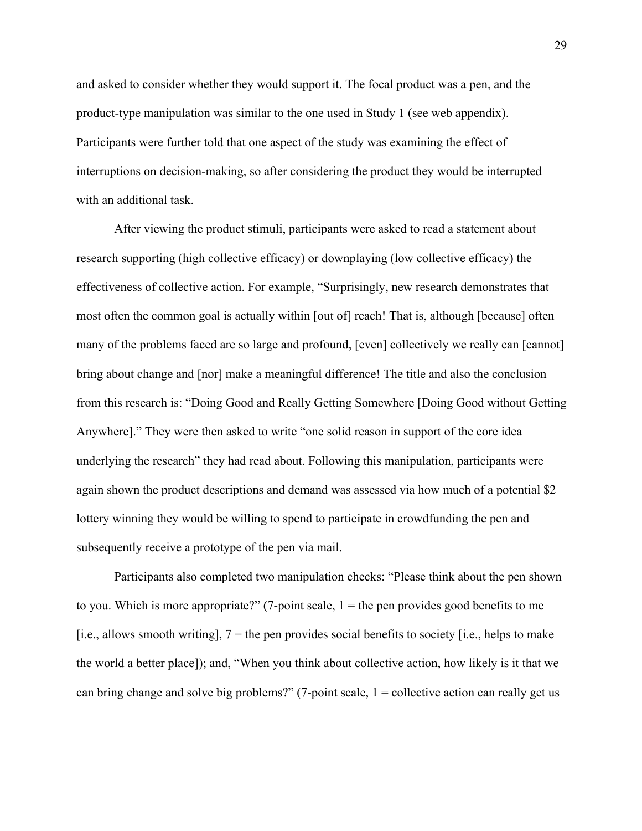and asked to consider whether they would support it. The focal product was a pen, and the product-type manipulation was similar to the one used in Study 1 (see web appendix). Participants were further told that one aspect of the study was examining the effect of interruptions on decision-making, so after considering the product they would be interrupted with an additional task.

After viewing the product stimuli, participants were asked to read a statement about research supporting (high collective efficacy) or downplaying (low collective efficacy) the effectiveness of collective action. For example, "Surprisingly, new research demonstrates that most often the common goal is actually within [out of] reach! That is, although [because] often many of the problems faced are so large and profound, [even] collectively we really can [cannot] bring about change and [nor] make a meaningful difference! The title and also the conclusion from this research is: "Doing Good and Really Getting Somewhere [Doing Good without Getting Anywhere]." They were then asked to write "one solid reason in support of the core idea underlying the research" they had read about. Following this manipulation, participants were again shown the product descriptions and demand was assessed via how much of a potential \$2 lottery winning they would be willing to spend to participate in crowdfunding the pen and subsequently receive a prototype of the pen via mail.

Participants also completed two manipulation checks: "Please think about the pen shown to you. Which is more appropriate?" (7-point scale,  $1 =$  the pen provides good benefits to me [i.e., allows smooth writing],  $7 =$  the pen provides social benefits to society [i.e., helps to make the world a better place]); and, "When you think about collective action, how likely is it that we can bring change and solve big problems?" (7-point scale,  $1 =$  collective action can really get us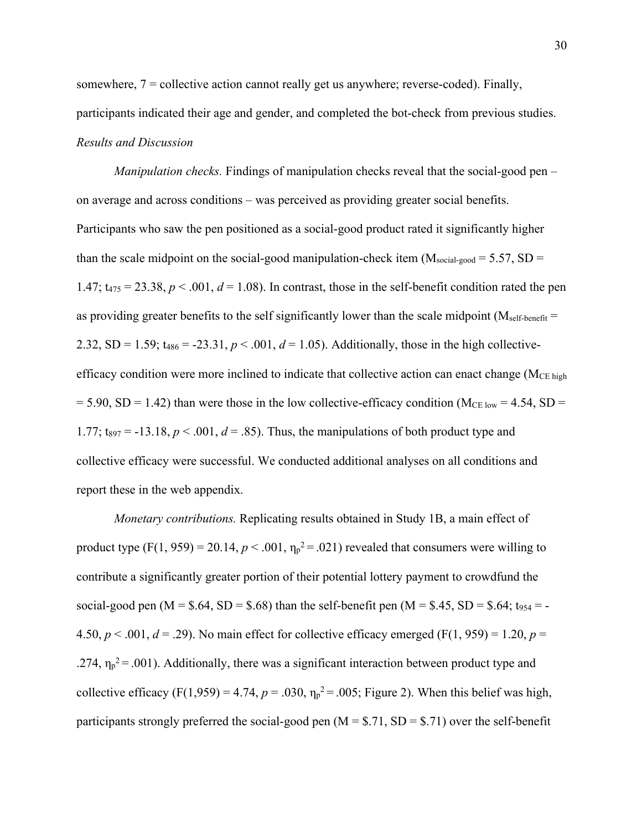somewhere, 7 = collective action cannot really get us anywhere; reverse-coded). Finally, participants indicated their age and gender, and completed the bot-check from previous studies. *Results and Discussion*

*Manipulation checks.* Findings of manipulation checks reveal that the social-good pen – on average and across conditions – was perceived as providing greater social benefits. Participants who saw the pen positioned as a social-good product rated it significantly higher than the scale midpoint on the social-good manipulation-check item ( $M_{social\text{-}good} = 5.57$ , SD = 1.47;  $t_{475} = 23.38$ ,  $p < .001$ ,  $d = 1.08$ ). In contrast, those in the self-benefit condition rated the pen as providing greater benefits to the self significantly lower than the scale midpoint ( $M_{\text{self-benefit}}$  = 2.32, SD = 1.59;  $t_{486} = -23.31$ ,  $p < .001$ ,  $d = 1.05$ ). Additionally, those in the high collectiveefficacy condition were more inclined to indicate that collective action can enact change ( $M_{CE\; high}$  $= 5.90$ , SD = 1.42) than were those in the low collective-efficacy condition (M<sub>CE low</sub> = 4.54, SD = 1.77;  $t_{897} = -13.18$ ,  $p < .001$ ,  $d = .85$ ). Thus, the manipulations of both product type and collective efficacy were successful. We conducted additional analyses on all conditions and report these in the web appendix.

*Monetary contributions.* Replicating results obtained in Study 1B, a main effect of product type  $(F(1, 959) = 20.14, p < .001, \eta_p^2 = .021)$  revealed that consumers were willing to contribute a significantly greater portion of their potential lottery payment to crowdfund the social-good pen (M =  $$.64$ , SD =  $$.68$ ) than the self-benefit pen (M =  $$.45$ , SD =  $$.64$ ; t<sub>954</sub> = -4.50,  $p < .001$ ,  $d = .29$ ). No main effect for collective efficacy emerged (F(1, 959) = 1.20,  $p =$ .274,  $\eta_p^2$  = .001). Additionally, there was a significant interaction between product type and collective efficacy  $(F(1, 959) = 4.74, p = .030, \eta_p^2 = .005;$  Figure 2). When this belief was high, participants strongly preferred the social-good pen  $(M = $.71, SD = $.71)$  over the self-benefit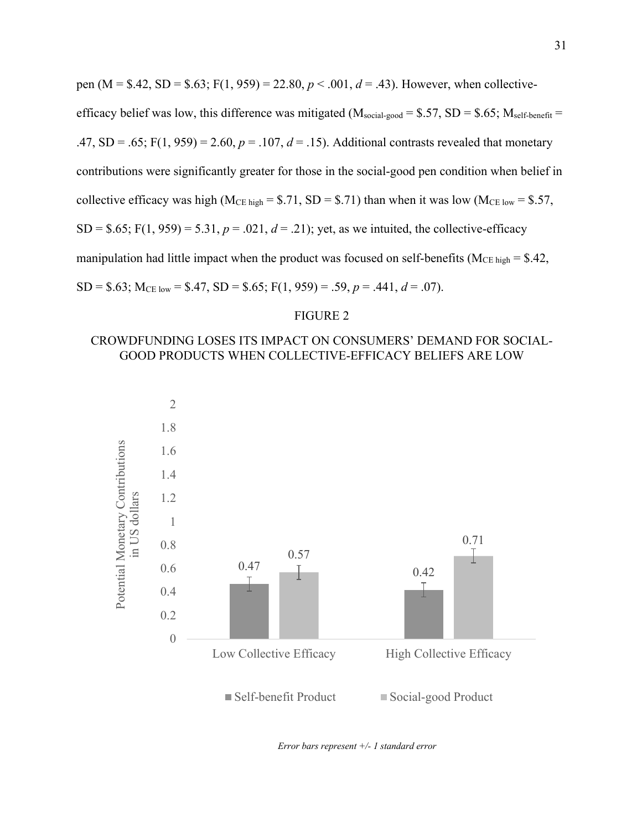pen (M = \$.42, SD = \$.63; F(1, 959) = 22.80,  $p < .001$ ,  $d = .43$ ). However, when collectiveefficacy belief was low, this difference was mitigated ( $M_{social\text{-good}} = $.57$ , SD = \$.65;  $M_{self\text{-benefit}}$ .47, SD = .65; F(1, 959) = 2.60,  $p = .107$ ,  $d = .15$ ). Additional contrasts revealed that monetary contributions were significantly greater for those in the social-good pen condition when belief in collective efficacy was high ( $M_{CE \text{ high}} = $.71$ , SD = \$.71) than when it was low ( $M_{CE \text{ low}} = $.57$ , SD =  $$.65; F(1, 959) = 5.31, p = .021, d = .21$ ; yet, as we intuited, the collective-efficacy manipulation had little impact when the product was focused on self-benefits ( $M_{CE \text{ high}} = $.42$ ,  $SD = $.63$ ;  $M_{CE\,low} = $.47$ ,  $SD = $.65$ ;  $F(1, 959) = .59$ ,  $p = .441$ ,  $d = .07$ ).

#### FIGURE 2

## CROWDFUNDING LOSES ITS IMPACT ON CONSUMERS' DEMAND FOR SOCIAL-GOOD PRODUCTS WHEN COLLECTIVE-EFFICACY BELIEFS ARE LOW



 *Error bars represent +/- 1 standard error*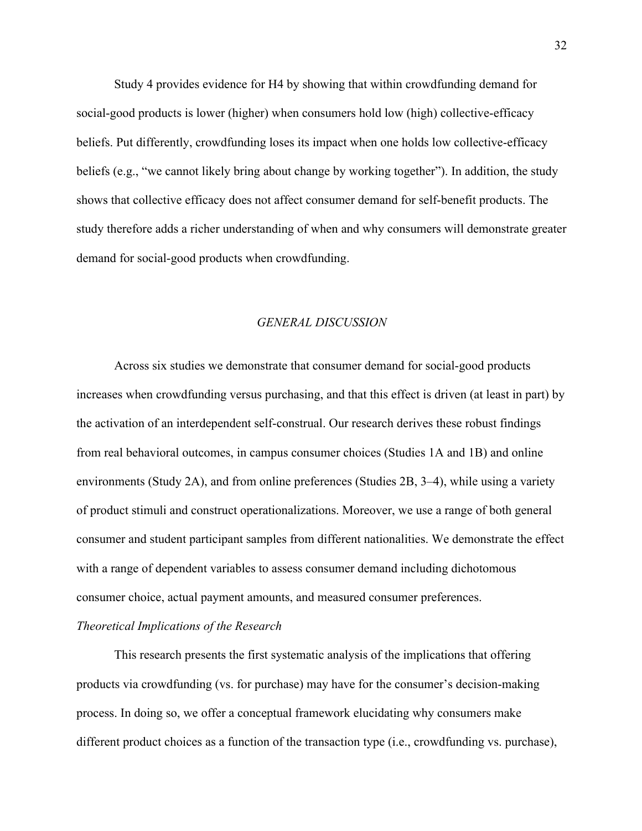Study 4 provides evidence for H4 by showing that within crowdfunding demand for social-good products is lower (higher) when consumers hold low (high) collective-efficacy beliefs. Put differently, crowdfunding loses its impact when one holds low collective-efficacy beliefs (e.g., "we cannot likely bring about change by working together"). In addition, the study shows that collective efficacy does not affect consumer demand for self-benefit products. The study therefore adds a richer understanding of when and why consumers will demonstrate greater demand for social-good products when crowdfunding.

#### *GENERAL DISCUSSION*

Across six studies we demonstrate that consumer demand for social-good products increases when crowdfunding versus purchasing, and that this effect is driven (at least in part) by the activation of an interdependent self-construal. Our research derives these robust findings from real behavioral outcomes, in campus consumer choices (Studies 1A and 1B) and online environments (Study 2A), and from online preferences (Studies 2B, 3–4), while using a variety of product stimuli and construct operationalizations. Moreover, we use a range of both general consumer and student participant samples from different nationalities. We demonstrate the effect with a range of dependent variables to assess consumer demand including dichotomous consumer choice, actual payment amounts, and measured consumer preferences.

## *Theoretical Implications of the Research*

This research presents the first systematic analysis of the implications that offering products via crowdfunding (vs. for purchase) may have for the consumer's decision-making process. In doing so, we offer a conceptual framework elucidating why consumers make different product choices as a function of the transaction type (i.e., crowdfunding vs. purchase),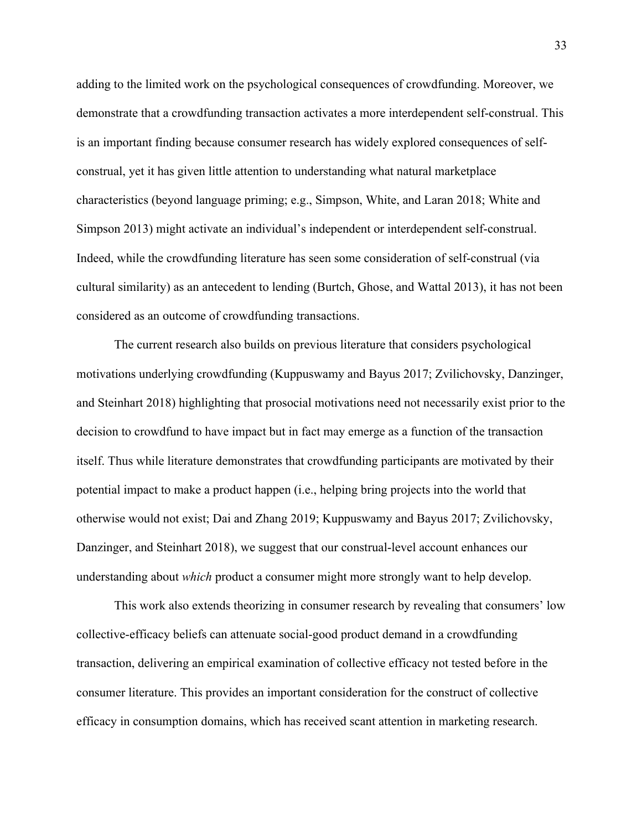adding to the limited work on the psychological consequences of crowdfunding. Moreover, we demonstrate that a crowdfunding transaction activates a more interdependent self-construal. This is an important finding because consumer research has widely explored consequences of selfconstrual, yet it has given little attention to understanding what natural marketplace characteristics (beyond language priming; e.g., Simpson, White, and Laran 2018; White and Simpson 2013) might activate an individual's independent or interdependent self-construal. Indeed, while the crowdfunding literature has seen some consideration of self-construal (via cultural similarity) as an antecedent to lending (Burtch, Ghose, and Wattal 2013), it has not been considered as an outcome of crowdfunding transactions.

The current research also builds on previous literature that considers psychological motivations underlying crowdfunding (Kuppuswamy and Bayus 2017; Zvilichovsky, Danzinger, and Steinhart 2018) highlighting that prosocial motivations need not necessarily exist prior to the decision to crowdfund to have impact but in fact may emerge as a function of the transaction itself. Thus while literature demonstrates that crowdfunding participants are motivated by their potential impact to make a product happen (i.e., helping bring projects into the world that otherwise would not exist; Dai and Zhang 2019; Kuppuswamy and Bayus 2017; Zvilichovsky, Danzinger, and Steinhart 2018), we suggest that our construal-level account enhances our understanding about *which* product a consumer might more strongly want to help develop.

This work also extends theorizing in consumer research by revealing that consumers' low collective-efficacy beliefs can attenuate social-good product demand in a crowdfunding transaction, delivering an empirical examination of collective efficacy not tested before in the consumer literature. This provides an important consideration for the construct of collective efficacy in consumption domains, which has received scant attention in marketing research.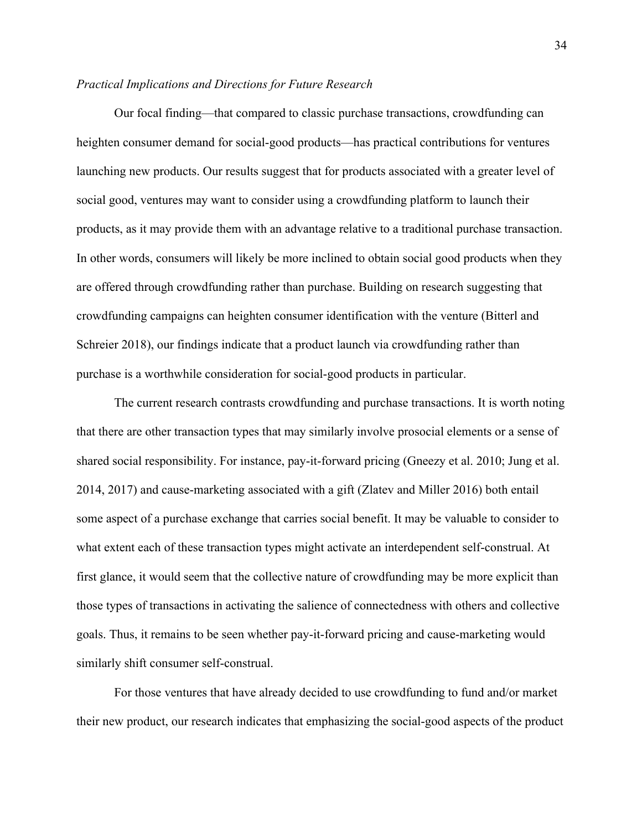#### *Practical Implications and Directions for Future Research*

Our focal finding—that compared to classic purchase transactions, crowdfunding can heighten consumer demand for social-good products—has practical contributions for ventures launching new products. Our results suggest that for products associated with a greater level of social good, ventures may want to consider using a crowdfunding platform to launch their products, as it may provide them with an advantage relative to a traditional purchase transaction. In other words, consumers will likely be more inclined to obtain social good products when they are offered through crowdfunding rather than purchase. Building on research suggesting that crowdfunding campaigns can heighten consumer identification with the venture (Bitterl and Schreier 2018), our findings indicate that a product launch via crowdfunding rather than purchase is a worthwhile consideration for social-good products in particular.

The current research contrasts crowdfunding and purchase transactions. It is worth noting that there are other transaction types that may similarly involve prosocial elements or a sense of shared social responsibility. For instance, pay-it-forward pricing (Gneezy et al. 2010; Jung et al. 2014, 2017) and cause-marketing associated with a gift (Zlatev and Miller 2016) both entail some aspect of a purchase exchange that carries social benefit. It may be valuable to consider to what extent each of these transaction types might activate an interdependent self-construal. At first glance, it would seem that the collective nature of crowdfunding may be more explicit than those types of transactions in activating the salience of connectedness with others and collective goals. Thus, it remains to be seen whether pay-it-forward pricing and cause-marketing would similarly shift consumer self-construal.

For those ventures that have already decided to use crowdfunding to fund and/or market their new product, our research indicates that emphasizing the social-good aspects of the product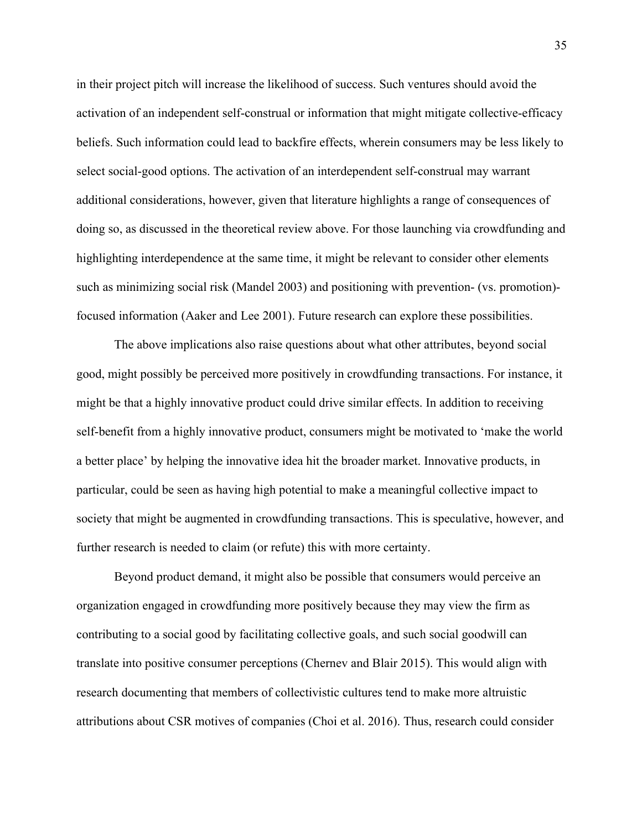in their project pitch will increase the likelihood of success. Such ventures should avoid the activation of an independent self-construal or information that might mitigate collective-efficacy beliefs. Such information could lead to backfire effects, wherein consumers may be less likely to select social-good options. The activation of an interdependent self-construal may warrant additional considerations, however, given that literature highlights a range of consequences of doing so, as discussed in the theoretical review above. For those launching via crowdfunding and highlighting interdependence at the same time, it might be relevant to consider other elements such as minimizing social risk (Mandel 2003) and positioning with prevention- (vs. promotion) focused information (Aaker and Lee 2001). Future research can explore these possibilities.

The above implications also raise questions about what other attributes, beyond social good, might possibly be perceived more positively in crowdfunding transactions. For instance, it might be that a highly innovative product could drive similar effects. In addition to receiving self-benefit from a highly innovative product, consumers might be motivated to 'make the world a better place' by helping the innovative idea hit the broader market. Innovative products, in particular, could be seen as having high potential to make a meaningful collective impact to society that might be augmented in crowdfunding transactions. This is speculative, however, and further research is needed to claim (or refute) this with more certainty.

Beyond product demand, it might also be possible that consumers would perceive an organization engaged in crowdfunding more positively because they may view the firm as contributing to a social good by facilitating collective goals, and such social goodwill can translate into positive consumer perceptions (Chernev and Blair 2015). This would align with research documenting that members of collectivistic cultures tend to make more altruistic attributions about CSR motives of companies (Choi et al. 2016). Thus, research could consider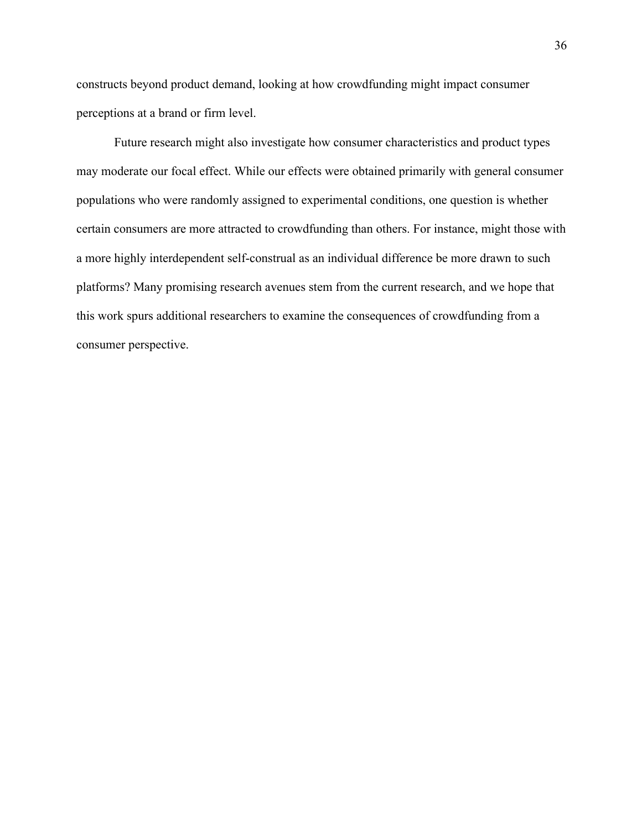constructs beyond product demand, looking at how crowdfunding might impact consumer perceptions at a brand or firm level.

Future research might also investigate how consumer characteristics and product types may moderate our focal effect. While our effects were obtained primarily with general consumer populations who were randomly assigned to experimental conditions, one question is whether certain consumers are more attracted to crowdfunding than others. For instance, might those with a more highly interdependent self-construal as an individual difference be more drawn to such platforms? Many promising research avenues stem from the current research, and we hope that this work spurs additional researchers to examine the consequences of crowdfunding from a consumer perspective.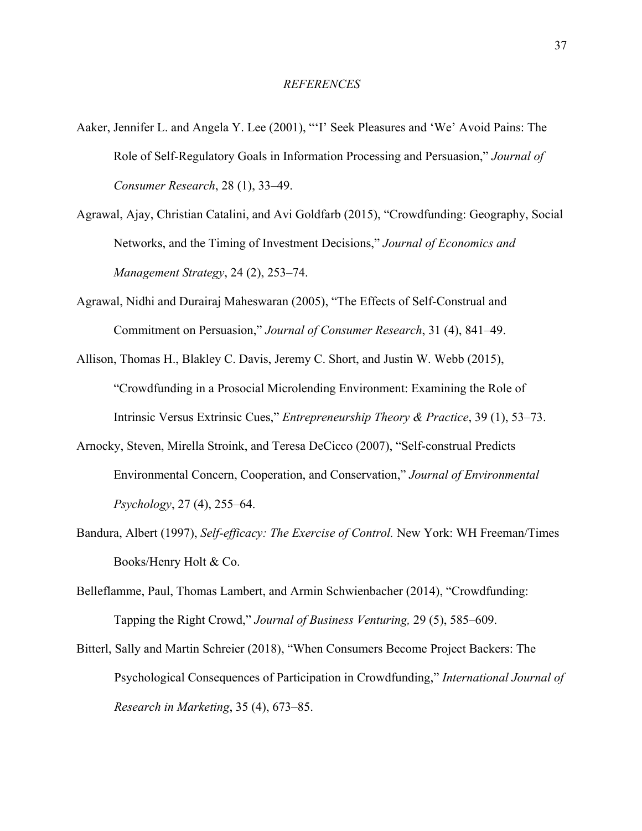- Aaker, Jennifer L. and Angela Y. Lee (2001), "'I' Seek Pleasures and 'We' Avoid Pains: The Role of Self-Regulatory Goals in Information Processing and Persuasion," *Journal of Consumer Research*, 28 (1), 33–49.
- Agrawal, Ajay, Christian Catalini, and Avi Goldfarb (2015), "Crowdfunding: Geography, Social Networks, and the Timing of Investment Decisions," *Journal of Economics and Management Strategy*, 24 (2), 253–74.
- Agrawal, Nidhi and Durairaj Maheswaran (2005), "The Effects of Self-Construal and Commitment on Persuasion," *Journal of Consumer Research*, 31 (4), 841–49.
- Allison, Thomas H., Blakley C. Davis, Jeremy C. Short, and Justin W. Webb (2015), "Crowdfunding in a Prosocial Microlending Environment: Examining the Role of Intrinsic Versus Extrinsic Cues," *Entrepreneurship Theory & Practice*, 39 (1), 53–73.
- Arnocky, Steven, Mirella Stroink, and Teresa DeCicco (2007), "Self-construal Predicts Environmental Concern, Cooperation, and Conservation," *Journal of Environmental Psychology*, 27 (4), 255–64.
- Bandura, Albert (1997), *Self-efficacy: The Exercise of Control.* New York: WH Freeman/Times Books/Henry Holt & Co.
- Belleflamme, Paul, Thomas Lambert, and Armin Schwienbacher (2014), "Crowdfunding: Tapping the Right Crowd," *Journal of Business Venturing,* 29 (5), 585–609.
- Bitterl, Sally and Martin Schreier (2018), "When Consumers Become Project Backers: The Psychological Consequences of Participation in Crowdfunding," *International Journal of Research in Marketing*, 35 (4), 673–85.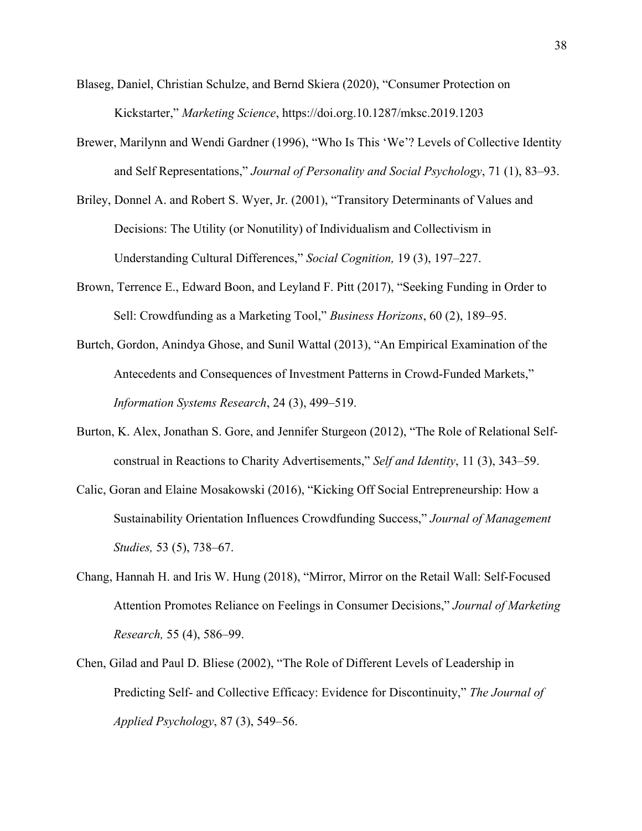- Blaseg, Daniel, Christian Schulze, and Bernd Skiera (2020), "Consumer Protection on Kickstarter," *Marketing Science*, https://doi.org.10.1287/mksc.2019.1203
- Brewer, Marilynn and Wendi Gardner (1996), "Who Is This 'We'? Levels of Collective Identity and Self Representations," *Journal of Personality and Social Psychology*, 71 (1), 83–93.
- Briley, Donnel A. and Robert S. Wyer, Jr. (2001), "Transitory Determinants of Values and Decisions: The Utility (or Nonutility) of Individualism and Collectivism in Understanding Cultural Differences," *Social Cognition,* 19 (3), 197–227.
- Brown, Terrence E., Edward Boon, and Leyland F. Pitt (2017), "Seeking Funding in Order to Sell: Crowdfunding as a Marketing Tool," *Business Horizons*, 60 (2), 189–95.
- Burtch, Gordon, Anindya Ghose, and Sunil Wattal (2013), "An Empirical Examination of the Antecedents and Consequences of Investment Patterns in Crowd-Funded Markets," *Information Systems Research*, 24 (3), 499–519.
- Burton, K. Alex, Jonathan S. Gore, and Jennifer Sturgeon (2012), "The Role of Relational Selfconstrual in Reactions to Charity Advertisements," *Self and Identity*, 11 (3), 343–59.
- Calic, Goran and Elaine Mosakowski (2016), "Kicking Off Social Entrepreneurship: How a Sustainability Orientation Influences Crowdfunding Success," *Journal of Management Studies,* 53 (5), 738–67.
- Chang, Hannah H. and Iris W. Hung (2018), "Mirror, Mirror on the Retail Wall: Self-Focused Attention Promotes Reliance on Feelings in Consumer Decisions," *Journal of Marketing Research,* 55 (4), 586–99.
- Chen, Gilad and Paul D. Bliese (2002), "The Role of Different Levels of Leadership in Predicting Self- and Collective Efficacy: Evidence for Discontinuity," *The Journal of Applied Psychology*, 87 (3), 549–56.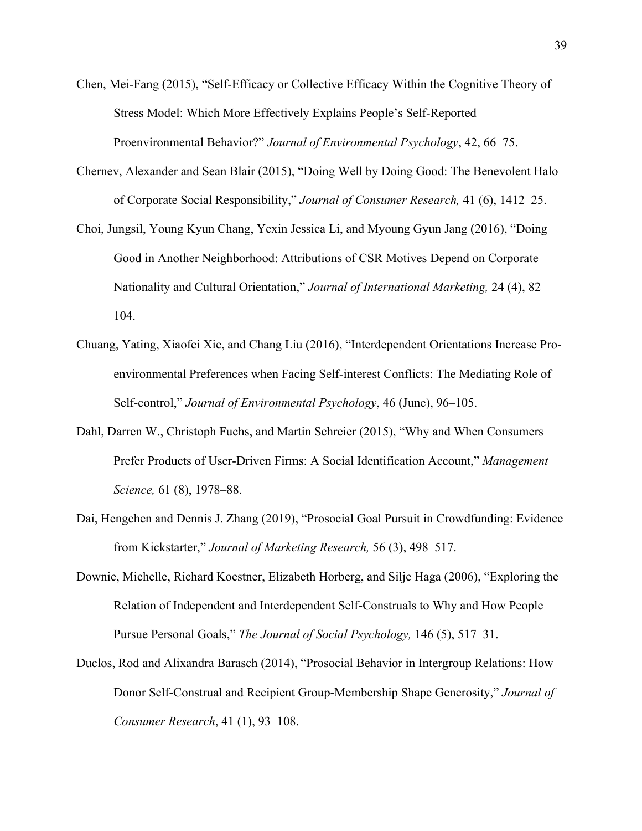- Chen, Mei-Fang (2015), "Self-Efficacy or Collective Efficacy Within the Cognitive Theory of Stress Model: Which More Effectively Explains People's Self-Reported Proenvironmental Behavior?" *Journal of Environmental Psychology*, 42, 66–75.
- Chernev, Alexander and Sean Blair (2015), "Doing Well by Doing Good: The Benevolent Halo of Corporate Social Responsibility," *Journal of Consumer Research,* 41 (6), 1412–25.
- Choi, Jungsil, Young Kyun Chang, Yexin Jessica Li, and Myoung Gyun Jang (2016), "Doing Good in Another Neighborhood: Attributions of CSR Motives Depend on Corporate Nationality and Cultural Orientation," *Journal of International Marketing,* 24 (4), 82– 104.
- Chuang, Yating, Xiaofei Xie, and Chang Liu (2016), "Interdependent Orientations Increase Proenvironmental Preferences when Facing Self-interest Conflicts: The Mediating Role of Self-control," *Journal of Environmental Psychology*, 46 (June), 96–105.
- Dahl, Darren W., Christoph Fuchs, and Martin Schreier (2015), "Why and When Consumers Prefer Products of User-Driven Firms: A Social Identification Account," *Management Science,* 61 (8), 1978–88.
- Dai, Hengchen and Dennis J. Zhang (2019), "Prosocial Goal Pursuit in Crowdfunding: Evidence from Kickstarter," *Journal of Marketing Research,* 56 (3), 498–517.
- Downie, Michelle, Richard Koestner, Elizabeth Horberg, and Silje Haga (2006), "Exploring the Relation of Independent and Interdependent Self-Construals to Why and How People Pursue Personal Goals," *The Journal of Social Psychology,* 146 (5), 517–31.
- Duclos, Rod and Alixandra Barasch (2014), "Prosocial Behavior in Intergroup Relations: How Donor Self-Construal and Recipient Group-Membership Shape Generosity," *Journal of Consumer Research*, 41 (1), 93–108.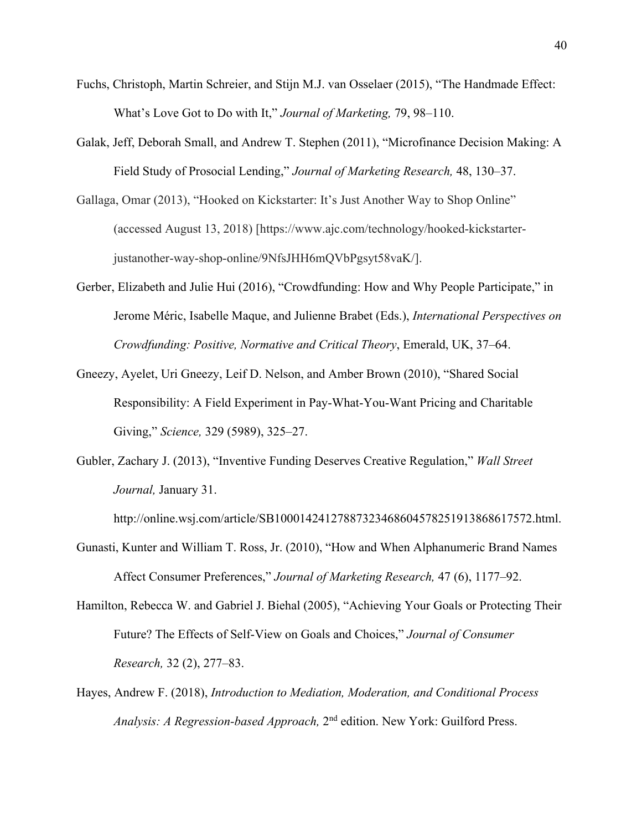- Fuchs, Christoph, Martin Schreier, and Stijn M.J. van Osselaer (2015), "The Handmade Effect: What's Love Got to Do with It," *Journal of Marketing,* 79, 98–110.
- Galak, Jeff, Deborah Small, and Andrew T. Stephen (2011), "Microfinance Decision Making: A Field Study of Prosocial Lending," *Journal of Marketing Research,* 48, 130–37.
- Gallaga, Omar (2013), "Hooked on Kickstarter: It's Just Another Way to Shop Online" (accessed August 13, 2018) [https://www.ajc.com/technology/hooked-kickstarterjustanother-way-shop-online/9NfsJHH6mQVbPgsyt58vaK/].
- Gerber, Elizabeth and Julie Hui (2016), "Crowdfunding: How and Why People Participate," in Jerome Méric, Isabelle Maque, and Julienne Brabet (Eds.), *International Perspectives on Crowdfunding: Positive, Normative and Critical Theory*, Emerald, UK, 37–64.
- Gneezy, Ayelet, Uri Gneezy, Leif D. Nelson, and Amber Brown (2010), "Shared Social Responsibility: A Field Experiment in Pay-What-You-Want Pricing and Charitable Giving," *Science,* 329 (5989), 325–27.
- Gubler, Zachary J. (2013), "Inventive Funding Deserves Creative Regulation," *Wall Street Journal,* January 31.

http://online.wsj.com/article/SB10001424127887323468604578251913868617572.html.

- Gunasti, Kunter and William T. Ross, Jr. (2010), "How and When Alphanumeric Brand Names Affect Consumer Preferences," *Journal of Marketing Research,* 47 (6), 1177–92.
- Hamilton, Rebecca W. and Gabriel J. Biehal (2005), "Achieving Your Goals or Protecting Their Future? The Effects of Self-View on Goals and Choices," *Journal of Consumer Research,* 32 (2), 277–83.
- Hayes, Andrew F. (2018), *Introduction to Mediation, Moderation, and Conditional Process Analysis: A Regression-based Approach,* 2nd edition. New York: Guilford Press.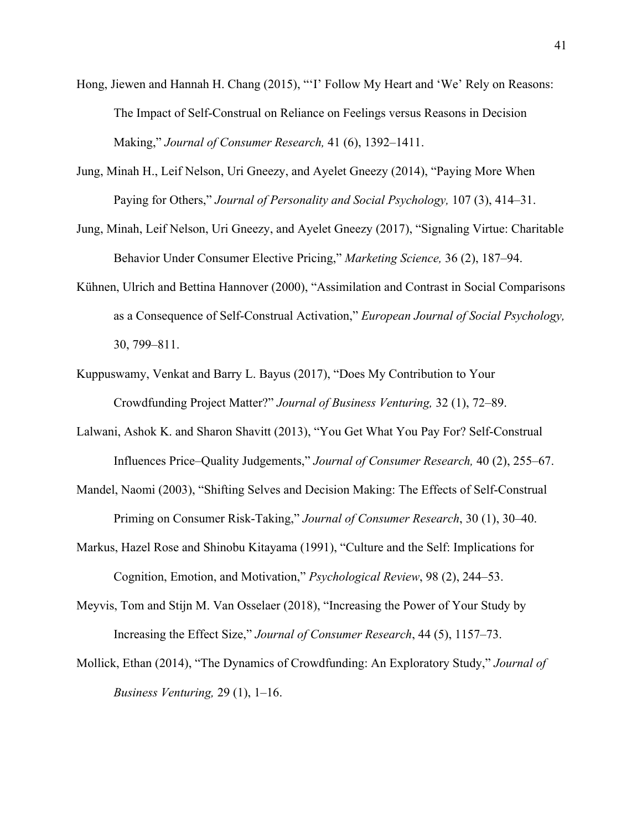- Hong, Jiewen and Hannah H. Chang (2015), "'I' Follow My Heart and 'We' Rely on Reasons: The Impact of Self-Construal on Reliance on Feelings versus Reasons in Decision Making," *Journal of Consumer Research,* 41 (6), 1392–1411.
- Jung, Minah H., Leif Nelson, Uri Gneezy, and Ayelet Gneezy (2014), "Paying More When Paying for Others," *Journal of Personality and Social Psychology,* 107 (3), 414–31.
- Jung, Minah, Leif Nelson, Uri Gneezy, and Ayelet Gneezy (2017), "Signaling Virtue: Charitable Behavior Under Consumer Elective Pricing," *Marketing Science,* 36 (2), 187–94.
- Kühnen, Ulrich and Bettina Hannover (2000), "Assimilation and Contrast in Social Comparisons as a Consequence of Self-Construal Activation," *European Journal of Social Psychology,*  30, 799–811.
- Kuppuswamy, Venkat and Barry L. Bayus (2017), "Does My Contribution to Your Crowdfunding Project Matter?" *Journal of Business Venturing,* 32 (1), 72–89.
- Lalwani, Ashok K. and Sharon Shavitt (2013), "You Get What You Pay For? Self-Construal Influences Price–Quality Judgements," *Journal of Consumer Research,* 40 (2), 255–67.
- Mandel, Naomi (2003), "Shifting Selves and Decision Making: The Effects of Self-Construal Priming on Consumer Risk-Taking," *Journal of Consumer Research*, 30 (1), 30–40.
- Markus, Hazel Rose and Shinobu Kitayama (1991), "Culture and the Self: Implications for Cognition, Emotion, and Motivation," *Psychological Review*, 98 (2), 244–53.
- Meyvis, Tom and Stijn M. Van Osselaer (2018), "Increasing the Power of Your Study by Increasing the Effect Size," *Journal of Consumer Research*, 44 (5), 1157–73.
- Mollick, Ethan (2014), "The Dynamics of Crowdfunding: An Exploratory Study," *Journal of Business Venturing,* 29 (1), 1–16.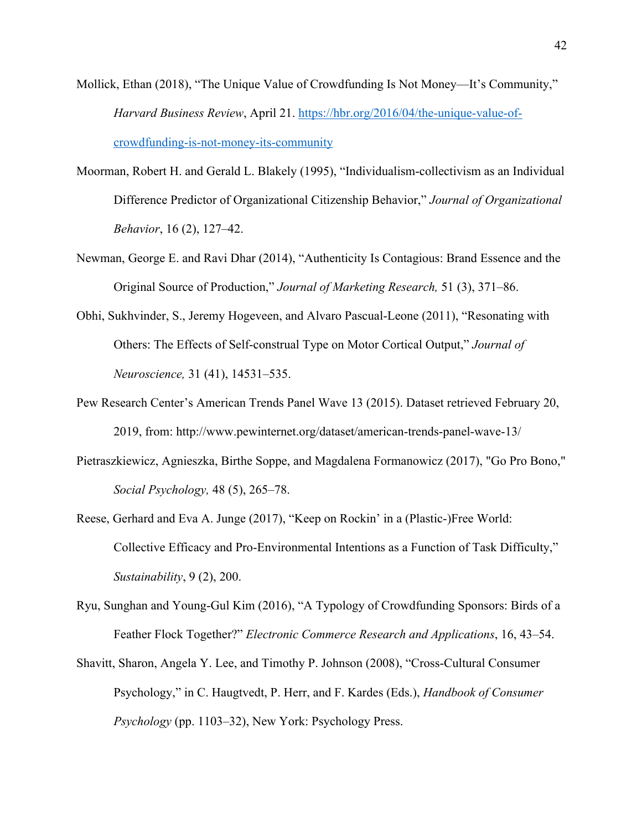- Mollick, Ethan (2018), "The Unique Value of Crowdfunding Is Not Money—It's Community," *Harvard Business Review*, April 21. https://hbr.org/2016/04/the-unique-value-ofcrowdfunding-is-not-money-its-community
- Moorman, Robert H. and Gerald L. Blakely (1995), "Individualism-collectivism as an Individual Difference Predictor of Organizational Citizenship Behavior," *Journal of Organizational Behavior*, 16 (2), 127–42.
- Newman, George E. and Ravi Dhar (2014), "Authenticity Is Contagious: Brand Essence and the Original Source of Production," *Journal of Marketing Research,* 51 (3), 371–86.
- Obhi, Sukhvinder, S., Jeremy Hogeveen, and Alvaro Pascual-Leone (2011), "Resonating with Others: The Effects of Self-construal Type on Motor Cortical Output," *Journal of Neuroscience,* 31 (41), 14531–535.
- Pew Research Center's American Trends Panel Wave 13 (2015). Dataset retrieved February 20, 2019, from: http://www.pewinternet.org/dataset/american-trends-panel-wave-13/
- Pietraszkiewicz, Agnieszka, Birthe Soppe, and Magdalena Formanowicz (2017), "Go Pro Bono," *Social Psychology,* 48 (5), 265–78.
- Reese, Gerhard and Eva A. Junge (2017), "Keep on Rockin' in a (Plastic-)Free World: Collective Efficacy and Pro-Environmental Intentions as a Function of Task Difficulty," *Sustainability*, 9 (2), 200.
- Ryu, Sunghan and Young-Gul Kim (2016), "A Typology of Crowdfunding Sponsors: Birds of a Feather Flock Together?" *Electronic Commerce Research and Applications*, 16, 43–54.
- Shavitt, Sharon, Angela Y. Lee, and Timothy P. Johnson (2008), "Cross-Cultural Consumer Psychology," in C. Haugtvedt, P. Herr, and F. Kardes (Eds.), *Handbook of Consumer Psychology* (pp. 1103–32), New York: Psychology Press.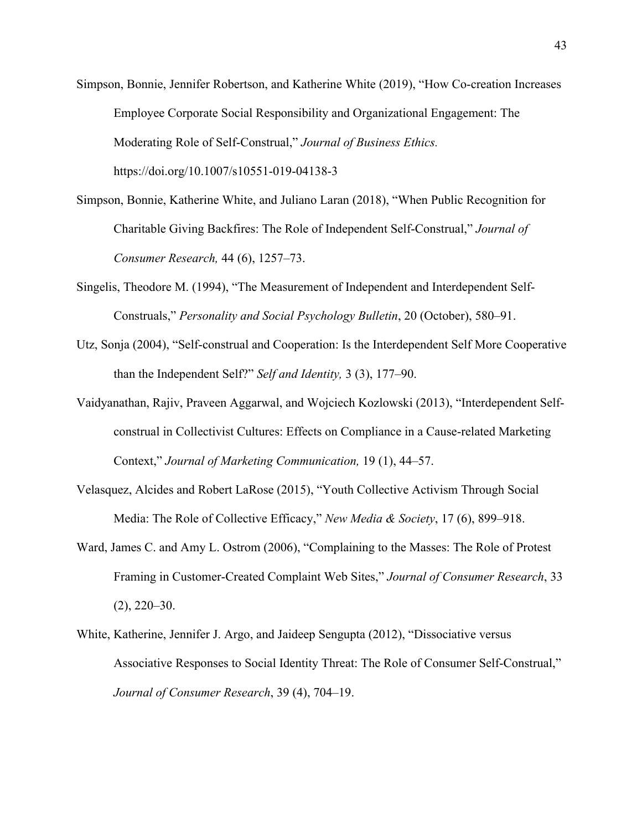Simpson, Bonnie, Jennifer Robertson, and Katherine White (2019), "How Co-creation Increases Employee Corporate Social Responsibility and Organizational Engagement: The Moderating Role of Self-Construal," *Journal of Business Ethics.* https://doi.org/10.1007/s10551-019-04138-3

- Simpson, Bonnie, Katherine White, and Juliano Laran (2018), "When Public Recognition for Charitable Giving Backfires: The Role of Independent Self-Construal," *Journal of Consumer Research,* 44 (6), 1257–73.
- Singelis, Theodore M. (1994), "The Measurement of Independent and Interdependent Self-Construals," *Personality and Social Psychology Bulletin*, 20 (October), 580–91.
- Utz, Sonja (2004), "Self-construal and Cooperation: Is the Interdependent Self More Cooperative than the Independent Self?" *Self and Identity,* 3 (3), 177–90.
- Vaidyanathan, Rajiv, Praveen Aggarwal, and Wojciech Kozlowski (2013), "Interdependent Selfconstrual in Collectivist Cultures: Effects on Compliance in a Cause-related Marketing Context," *Journal of Marketing Communication,* 19 (1), 44–57.
- Velasquez, Alcides and Robert LaRose (2015), "Youth Collective Activism Through Social Media: The Role of Collective Efficacy," *New Media & Society*, 17 (6), 899–918.
- Ward, James C. and Amy L. Ostrom (2006), "Complaining to the Masses: The Role of Protest Framing in Customer-Created Complaint Web Sites," *Journal of Consumer Research*, 33  $(2), 220 - 30.$
- White, Katherine, Jennifer J. Argo, and Jaideep Sengupta (2012), "Dissociative versus Associative Responses to Social Identity Threat: The Role of Consumer Self-Construal," *Journal of Consumer Research*, 39 (4), 704–19.